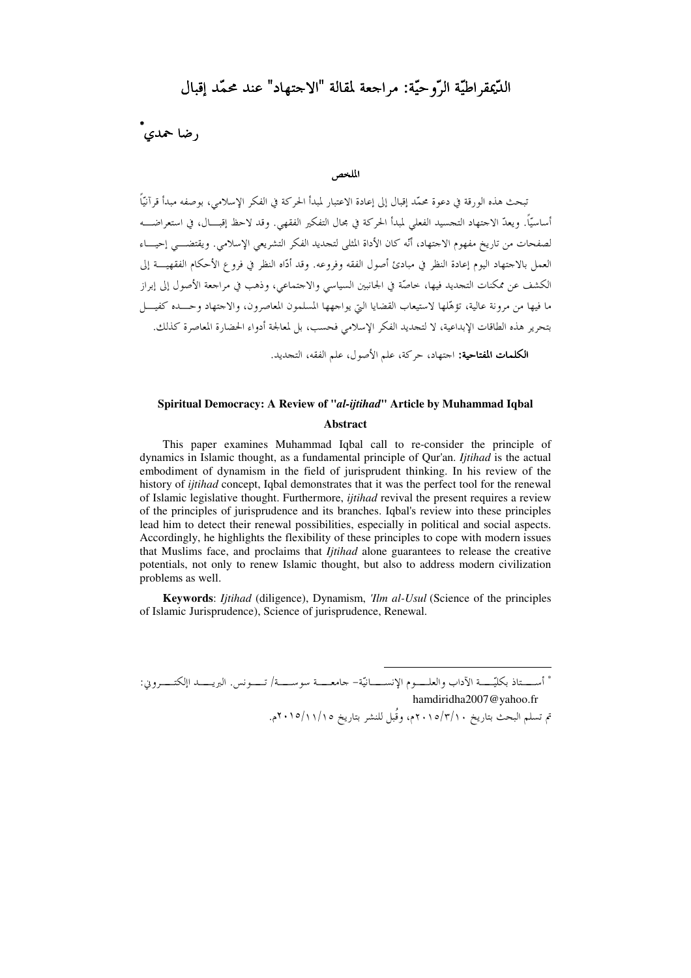## الدَّعِقرِ اطيَّةِ الرَّوحيَّةِ: مراجعة لمقالة "الاحتهاد" عند محمَّد إقبال

، ضا حمدي

#### الملخص

تبحث هذه الورقة في دعوة محمّد إقبال إلى إعادة الاعتبار لمبدأ الحركة في الفكر الإسلامي، بوصفه مبدأ قرآنيّاً أساسيًّا. ويعدّ الاحتهاد التجسيد الفعلي لمبدأ الحركة في مجال التفكير الفقهي. وقد لاحظ إقبـــال، في استعراضــــه لصفحات من تاريخ مفهوم الاجتهاد، أنَّه كان الأداة المثلمي لتجديد الفكر التشريعي الإسلامي. ويقتضـــي إحيـــاء العمل بالاجتهاد اليوم إعادة النظر في مبادئ أصول الفقه وفروعه. وقد أدَّاه النظر في فروع الأحكام الفقهيـــة إلى الكشف عن ممكنات التجديد فيها، خاصَّة في الجانبين السياسي والاجتماعي، وذهب في مراجعة الأصول إلى إبراز ما فيها من مرونة عالية، تؤهَّلها لاستيعاب القضايا التيّ يواجهها المسلمون المعاصرون، والاجتهاد وحـــده كفيــــل بتحرير هذه الطاقات الإبداعية، لا لتجديد الفكر الإسلامي فحسب، بل لمعالجة أدواء الحضارة المعاصرة كذلك. **الكلمات المفتاحية:** اجتهاد، حركة، علم الأصول، علم الفقه، التجديد.

#### Spiritual Democracy: A Review of "al-ijtihad" Article by Muhammad Iqbal

#### Abstract

This paper examines Muhammad Iqbal call to re-consider the principle of dynamics in Islamic thought, as a fundamental principle of Qur'an. *Itihad* is the actual embodiment of dynamism in the field of jurisprudent thinking. In his review of the history of *iitihad* concept. Igbal demonstrates that it was the perfect tool for the renewal of Islamic legislative thought. Furthermore, *ijtihad* revival the present requires a review of the principles of jurisprudence and its branches. Igbal's review into these principles lead him to detect their renewal possibilities, especially in political and social aspects. Accordingly, he highlights the flexibility of these principles to cope with modern issues that Muslims face, and proclaims that *Itihad* alone guarantees to release the creative potentials, not only to renew Islamic thought, but also to address modern civilization problems as well.

**Keywords:** *Ijtihad* (diligence), Dynamism, *'Ilm al-Usul* (Science of the principles of Islamic Jurisprudence), Science of jurisprudence, Renewal.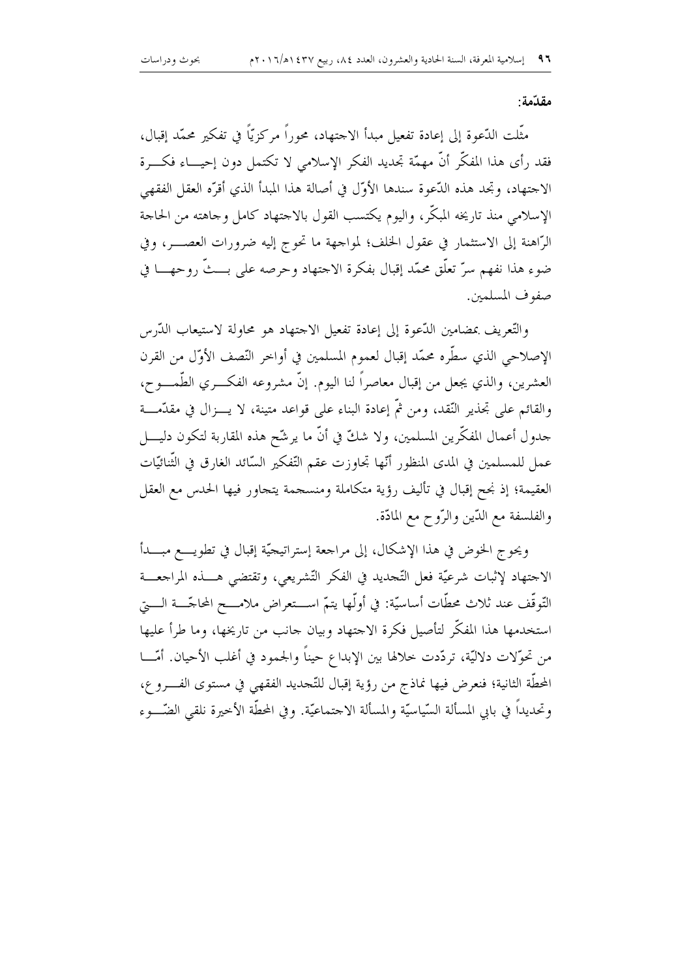#### مقدّمة:

مثَّلت الدَّعوة إلى إعادة تفعيل مبدأ الاحتهاد، محوراً مركزيّاً في تفكير محمَّد إقبال، فقد رأى هذا المفكَّر أنَّ مهمَّة تجديد الفكر الإسلامي لا تكتمل دون إحيـــاء فكــــرة الاجتهاد، وتحد هذه الدّعوة سندها الأوّل في أصالة هذا المبدأ الذي أقرّه العقل الفقهي الإسلامي منذ تاريخه المبكَّر، واليوم يكتسب القول بالاحتهاد كامل وحاهته من الحاحة الرَّاهنة إلى الاستثمار في عقول الخلف؛ لمواحهة ما تحوج إليه ضرورات العصــــر، وفي ضوء هذا نفهم سرّ تعلُّق محمَّد إقبال بفكرة الاحتهاد وحرصه على بـــثَّ روحهــــا في صفوف المسلمين.

والتُّعريف بمضامين الدُّعوة إلى إعادة تفعيل الاجتهاد هو محاولة لاستيعاب الدَّرس الإصلاحي الذي سطَّره محمَّد إقبال لعموم المسلمين في أواخر النّصف الأوّل من القرن العشرين، والذي يجعل من إقبال معاصراً لنا اليوم. إنَّ مشروعه الفكـــري الطَّمــــوح، والقائم على تجذير النِّقد، ومن ثمَّ إعادة البناء على قواعد متينة، لا يـــزال في مقدَّمـــة جدول أعمال المفكَّرين المسلمين، ولا شكَّ في أنَّ ما يرشَّح هذه المقاربة لتكون دليــــل عمل للمسلمين في المدى المنظور أنّها تحاوزت عقم التّفكير السّائد الغارق في الثّنائيّات العقيمة؛ إذ نحح إقبال في تأليف رؤية متكاملة ومنسجمة يتجاور فيها الحدس مع العقل والفلسفة مع الدّين والرّوح مع المادّة.

ويحوج الخوض في هذا الإشكال، إلى مراجعة إستراتيجيّة إقبال في تطويــــع مبــــدأ الاجتهاد لإثبات شرعيَّة فعل التَّجديد في الفكر التَّشريعي، وتقتضي هــــذه المراجعـــة التَّوقُّف عند ثلاث محطَّات أساسيَّة: في أولَّها يتمَّ اســـتعراض ملامــــح المحاجّــــة الـــــتي استخدمها هذا المفكّر لتأصيل فكرة الاحتهاد وبيان حانب من تاريخها، وما طرأ عليها من تحوّلات دلاليّة، تردّدت خلالها بين الإبداع حيناً والجمود في أغلب الأحيان. أمّـــا المحطَّة الثانية؛ فنعرض فيها نماذج من رؤية إقبال للتَّحديد الفقهي في مستوى الفــــرو ع، وتحديداً في بابي المسألة السّياسيّة والمسألة الاحتماعيّة. وفي المحطّة الأخيرة نلقي الضّـــوء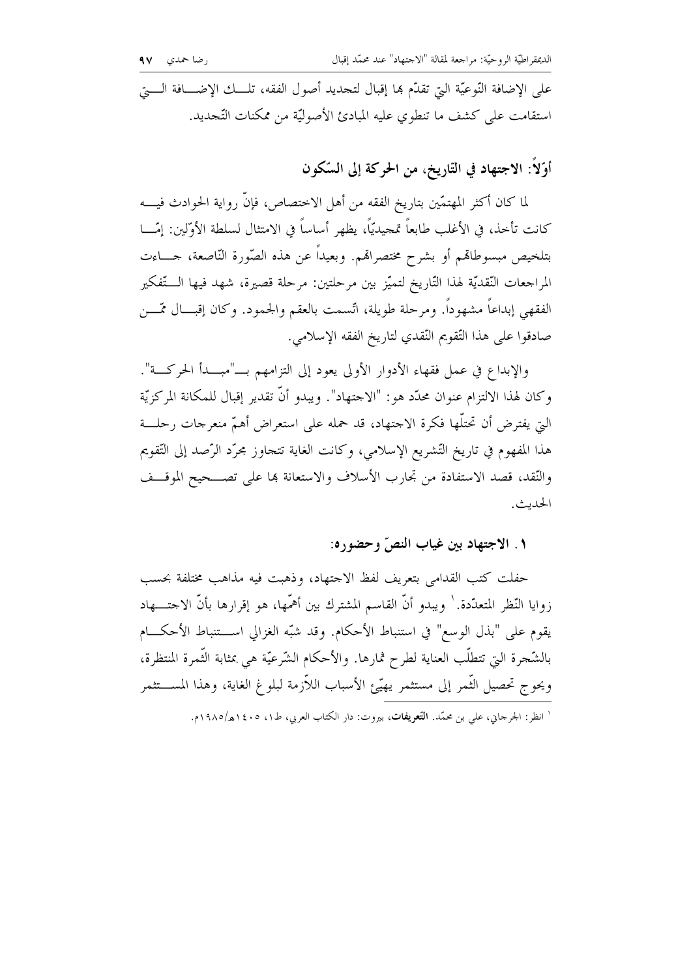على الإضافة النَّوعيَّة الَّتِي تقدَّم هِما إقبال لتجديد أصول الفقه، تلـــك الإضــــافة الــــتي استقامت على كشف ما تنطوي عليه المبادئ الأصوليّة من ممكنات التّجديد.

أَوَّلاً: الاجتهاد في التّاريخ، من الحركة إلى السَّكون

لما كان أكثر المهتمّين بتاريخ الفقه من أهل الاختصاص، فإنَّ رواية الحوادث فيــــه كانت تأخذ، في الأغلب طابعاً تمجيديّاً، يظهر أساساً في الامتثال لسلطة الأوّلين: إمّـــا بتلخيص مبسوطاقمم أو بشرح مختصراقم. وبعيداً عن هذه الصّورة النّاصعة، حــــاءت المراجعات النّقديّة لهذا التّاريخ لتميّز بين مرحلتين: مرحلة قصيرة، شهد فيها الـــتّفكير الفقهي إبداعاً مشهوداً. ومرحلة طويلة، اتّسمت بالعقم والجمود. وكان إقبـــال ممّـــن صادقوا على هذا التّقويم النّقدي لتاريخ الفقه الإسلامي.

والإبداع في عمل فقهاء الأدوار الأولى يعود إلى التزامهم بـــ"مبـــدأ الحركـــة". وكان لهذا الالتزام عنوان محدَّد هو : "الاحتهاد". ويبدو أنَّ تقدير إقبال للمكانة المركزيَّة الَّتِي يفترض أن تحتلُّها فكرة الاجتهاد، قد حمله على استعراض أهمُّ منعرجات رحلـــة هذا المفهوم في تاريخ التّشريع الإسلامي، وكانت الغاية تتجاوز مجرّد الرّصد إلى التّقويم والنُّقد، قصد الاستفادة من تجارب الأسلاف والاستعانة ها على تصـــحيح الموقـــف الحديث.

### ١. الاجتهاد بين غياب النصّ وحضوره:

حفلت كتب القدامى بتعريف لفظ الاجتهاد، وذهبت فيه مذاهب مختلفة بحسب زوايا النّظر المتعدّدة. ` ويبدو أنّ القاسم المشترك بين أهمّها، هو إقرارها بأنّ الاحتـــهاد يقوم على "بذل الوسع" في استنباط الأحكام. وقد شبّه الغزالي اســـتنباط الأحكـــام بالشَّحرة التي تتطلَّب العناية لطرح ثمارها. والأحكام الشَّرعيَّة هي بمثابة الثَّمرة المنتظرة، ويحوج تحصيل الثّمر إلى مستثمر يهيّئ الأسباب اللاّزمة لبلوغ الغاية، وهذا المســـتثمر

<sup>&#</sup>x27; انظر: الجرحاني، علي بن محمَّد. **التَّعريفات**، بيروت: دار الكتاب العربي، ط١، ١٤٠٥هـ/١٩٨٥م.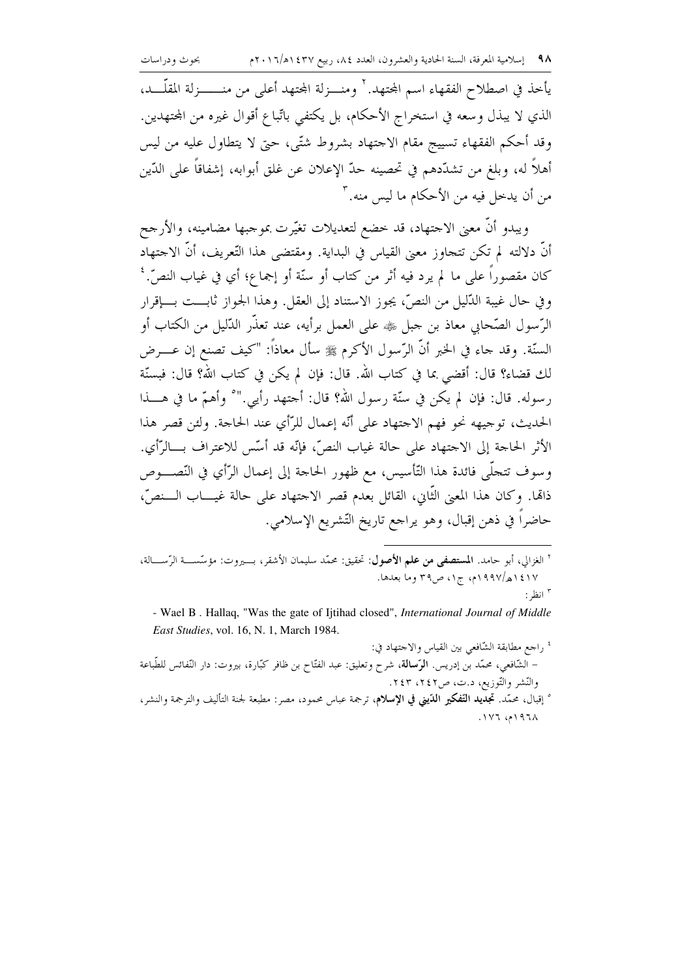يأخذ في اصطلاح الفقهاء اسم المحتهد. ` ومنـــزلة المحتهد أعلى من منــــــزلة المقلّـــد، الذي لا يبذل وسعه في استخراج الأحكام، بل يكتفي باتِّباع أقوال غيره من المحتهدين. وقد أحكم الفقهاء تسييج مقام الاحتهاد بشروط شتَّى، حتى لا يتطاول عليه من ليس أهلاً له، وبلغ من تشدَّدهم في تحصينه حدَّ الإعلان عن غلق أبوابه، إشفاقاً على الدِّين من أن يدخل فيه من الأحكام ما ليس منه. ٣

ويبدو أنَّ معنى الاحتهاد، قد خضع لتعديلات تغيَّرت بموجبها مضامينه، والأرجح أنَّ دلالته لم تكن تتجاوز معنى القياس في البداية. ومقتضى هذا التَّعريف، أنَّ الاجتهاد كان مقصوراً على ما لم يرد فيه أثر من كتاب أو سنَّة أو إجماع؛ أي في غياب النصِّ. ' وفي حال غيبة الدَّليل من النصِّ، يجوز الاستناد إلى العقل. وهذا الجواز ثابـــت بــــإقرار الرِّسول الصّحابي معاذ بن جبل ﷺ على العمل برأيه، عند تعذُّر الدُّليل من الكتاب أو السنَّة. وقد حاء في الخبر أنَّ الرَّسول الأكرم ﷺ سأل معاذاً: "كيف تصنع إن عـــرض لك قضاء؟ قال: أقضى بما في كتاب الله. قال: فإن لم يكن في كتاب الله؟ قال: فبسنَّة رسوله. قال: فإن لم يكن في سنَّة رسول الله؟ قال: أحتهد رأيي." ° وأهمَّ ما في هــــذا الحديث، توجيهه نحوٍ فهم الاحتهاد على أنَّه إعمال للرَّأى عند الحاجة. ولئن قصر هذا الأثر الحاجة إلى الاجتهاد على حالة غياب النصِّ، فإنَّه قد أسَّس للاعتراف بـــالرَّأى. وسوف تتجلَّى فائدة هذا التَّأسيس، مع ظهور الحاجة إلى إعمال الرَّأي في النَّصــوص ذائما. وكان هذا المعنى الثَّاني، القائل بعدم قصر الاجتهاد على حالة غيـــاب الـــنصِّ، حاضراً في ذهن إقبال، وهو يراحع تاريخ التّشريع الإسلامي.

<sup>٢</sup> الغزالي، أبو حامد. ا**لمستصفى من علم الأصول**: تحقيق: محمّد سليمان الأشقر، بـــيروت: مؤسّســـة الرّســــالة، ١٤١٧هه/١٩٩٧م، ج١، ص٣٩ وما بعدها. " انظر :

- Wael B. Hallaq, "Was the gate of Ijtihad closed", International Journal of Middle East Studies, vol. 16, N. 1, March 1984.

' راجع مطابقة الشّافعي بين القياس والاجتهاد في: – الشّافعي، محمّد بن إدريس. **الرّسالة**، شرح وتعليق: عبد الفتّاح بن ظافر كبّارة، بيروت: دار النّفائس للطّباعة والنّشر والتّوزيع، د.ت، ص٢٤٢، ٢٤٣. ° إقبال، محمّد. **تجديد التّفكير الدّيني في الإسلام**، ترجمة عباس محمود، مصر: مطبعة لجنة التأليف والترجمة والنشر، ۱۹۶۸م، ۱۷۶.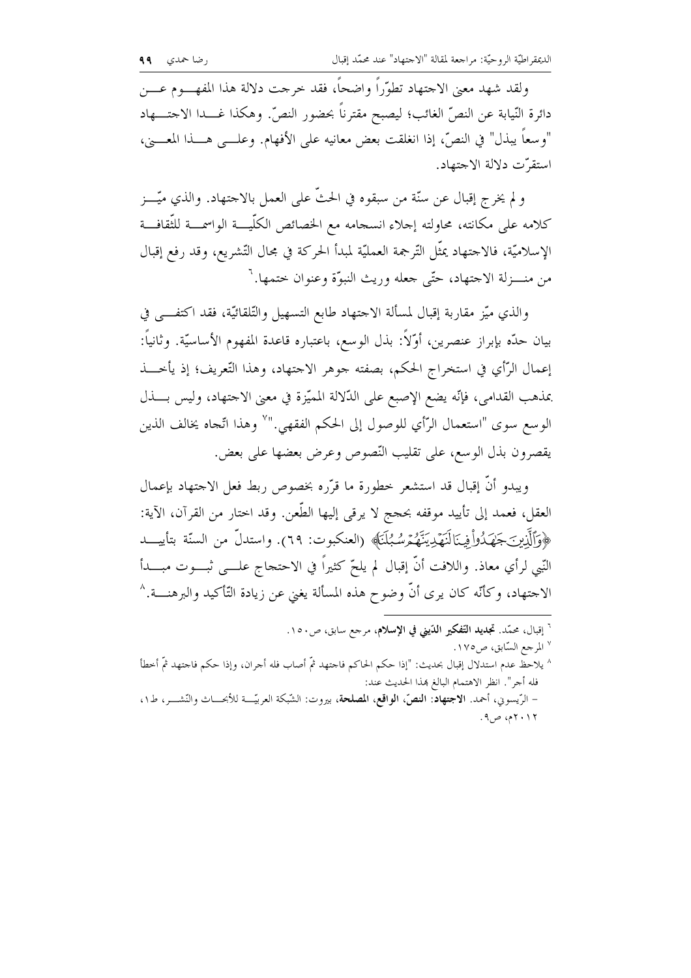ولقد شهد معنى الاحتهاد تطوَّراً واضحاً، فقد حرجت دلالة هذا المفهـــوم عــــن دائرة النّيابة عن النصِّ الغائب؛ ليصبح مقترناً بحضور النصِّ. وهكذا غـــدا الاحتــــهاد "وسعاً يبذل" في النصِّ، إذا انغلقت بعض معانيه على الأفهام. وعلـــي هـــذا المعــــيْ، استقرّت دلالة الاجتهاد.

و لم يخرج إقبال عن سنَّة من سبقوه في الحثَّ على العمل بالاحتهاد. والذي ميَّـــز كلامه على مكانته، محاولته إحلاء انسجامه مع الخصائص الكلّيـــة الواسمـــة للثّقافـــة الإسلاميّة، فالاحتهاد يمثّل التّرجمة العمليّة لمبدأ الحركة في محال التّشريع، وقد رفع إقبال من منـــزلة الاجتهاد، حتّى جعله وريث النبوّة وعنوان ختمها. ``

والذي ميّز مقاربة إقبال لمسألة الاحتهاد طابع التسهيل والتّلقائيّة، فقد اكتفـــى في بيان حدّه بإبراز عنصرين، أوّلاً: بذل الوسع، باعتباره قاعدة المفهوم الأساسيّة. وثانياً: إعمال الرَّأي في استخراج الحكم، بصفته جوهر الاجتهاد، وهذا التُّعريف؛ إذ يأخـــذ بمذهب القدامي، فإنّه يضع الإصبع على الدّلالة المميّزة في معنى الاحتهاد، وليس بــذل الوسع سوى "استعمال الرَّأي للوصول إلى الحكم الفقهي." `` وهذا اتَّحاه يخالف الذين يقصرون بذل الوسع، على تقليب النّصوص وعرض بعضها على بعض.

ويبدو أنَّ إقبال قد استشعر خطورة ما قرَّره بخصوص ربط فعل الاحتهاد بإعمال العقل، فعمد إلى تأييد موقفه بحجج لا يرقى إليها الطَّعن. وقد اختار من القرآن، الآية: ﴿وَٱلَّذِينَ جَهَدُواْ فِينَالَنَهَدِيَنَّهُمْ سُبُلَنَا﴾ (العنكبوت: ٦٩). واستدلَّ من السنَّة بتأييـــد النّبي لرأي معاذ. واللافت أنّ إقبال لم يلحّ كثيراً في الاحتجاج علـــي ثبـــوت مبــــدأ الاحتهاد، وكأنَّه كان يرى أنَّ وضوح هذه المسألة يغني عن زيادة التَّأكيد والبرهنــــة.^

- <sup>٦</sup> إقبال، محمّد. ت**جديد التّفكير الدّيني في الإسلام**، مرجع سابق، ص١٥٠.
	- <sup>٧</sup> المرجع السّابق، ص١٧٥.
- ^ يلاحظ عدم استدلال إقبال بحديث: "إذا حكم الحاكم فاجتهد ثمَّ أصاب فله أجران، وإذا حكم فاجتهد ثمَّ أخطأ فله أجر". انظر الاهتمام البالغ بهذا الحديث عند: - الرِّيسوني، أحمد. الاجتهاد: النصّ، الواقع، المصلحة، بيروت: الشّبكة العربيّــة للأبحـــاث والنّشـــر، ط١،
	- ۲۰۱۲م، ص۹.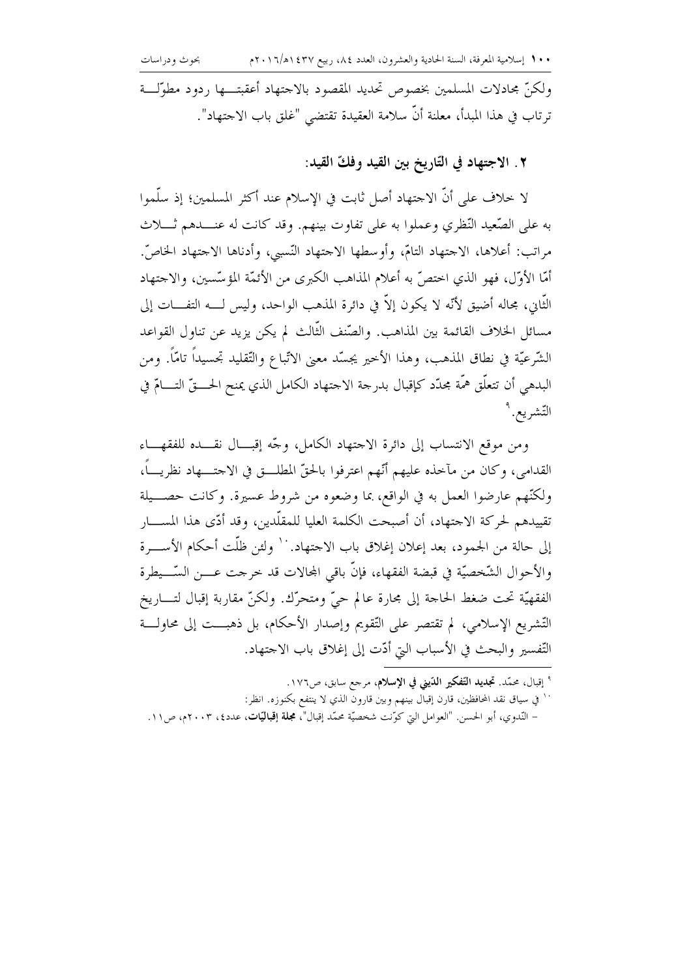ولكنَّ مجادلات المسلمين بخصوص تحديد المقصود بالاجتهاد أعقبتـــها ردود مطوَّلـــة ترتاب في هذا المبدأ، معلنة أنَّ سلامة العقيدة تقتضي "غلق باب الاجتهاد".

٢. الاجتهاد في التّاريخ بين القيد وفكّ القيد:

لا خلاف على أنَّ الاجتهاد أصل ثابت في الإسلام عند أكثر المسلمين؛ إذ سلَّموا به على الصَّعيد النَّظري وعملوا به على تفاوت بينهم. وقد كانت له عنـــدهم ثــــلاث مراتب: أعلاها، الاجتهاد التامّ، وأوسطها الاجتهاد النّسبي، وأدناها الاجتهاد الخاصّ. أمَّا الأوَّل، فهو الذي اختصَّ به أعلام المذاهب الكبرى من الأئمَّة المؤسَّسين، والاجتهاد الثَّاني، مجاله أضيق لأنَّه لا يكون إلاَّ في دائرة المذهب الواحد، وليس لــــه التفــــات إلى مسائل الخلاف القائمة بين المذاهب. والصّنف الثّالث لم يكن يزيد عن تناول القواعد الشَّرعيَّة في نطاق المذهب، وهذا الأحير يجسَّد معنى الاتِّباع والتَّقليد تجسيداً تامَّاً. ومن البدهي أن تتعلَّق همَّة مجدَّد كإقبال بدرجة الاجتهاد الكامل الذي يمنح الحــــقّ التــــامّ في التّشريع. ٩

ومن موقع الانتساب إلى دائرة الاحتهاد الكامل، وحَّه إقبـــال نقـــده للفقهـــاء القدامي، وكان من مآخذه عليهم أنَّهم اعترفوا بالحقِّ المطلـــق في الاحتــــهاد نظريــــاً، ولكنَّهم عارضوا العمل به في الواقع، بما وضعوه من شروط عسيرة. وكانت حصـــيلة تقييدهم لحركة الاجتهاد، أن أصبحت الكلمة العليا للمقلَّدين، وقد أدَّى هذا المســــار إلى حالة من الجمود، بعد إعلان إغلاق باب الاحتهاد.`` ولئن ظلَّت أحكام الأســــرة والأحوال الشَّخصيَّة في قبضة الفقهاء، فإنَّ باقي المجالات قد خرجت عــــن السَّـــيطرة الفقهيّة تحت ضغط الحاجة إلى مجارة عالم حيّ ومتحرّك. ولكنّ مقاربة إقبال لتــــاريخ التّشريع الإسلامي، لم تقتصر على التّقويم وإصدار الأحكام، بل ذهبـــت إلى محاولـــة التَّفسير والبحث في الأسباب التيّ أدّت إلى إغلاق باب الاجتهاد.

- <sup>9</sup> إقبال، محمّد. **تجديد التّفكير الدّيني في الإسلام**، مرحع سابق، ص١٧٦.
- `` في سياق نقد المحافظين، قارن إقبال بينهم وبين قارون الذي لا ينتفع بكنوزه. انظر: – النّدوي، أبو الحسن. "العوامل التي كوّنت شخصيّة محمّد إقبال"، مجلّة إقباليّات، عدد؟، ٢٠٠٣م، ص١١.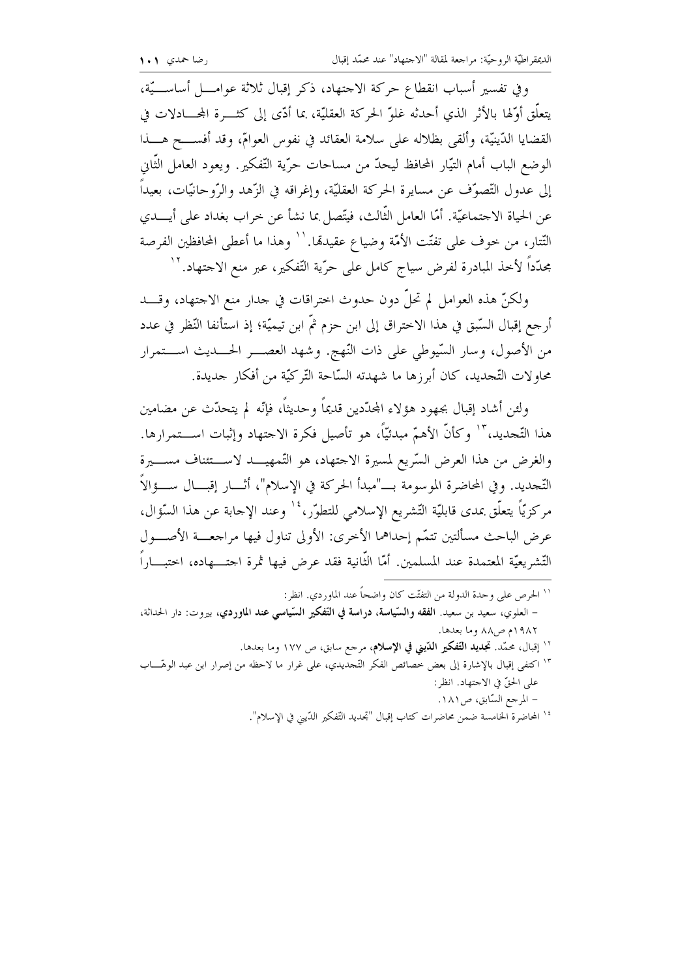وفي تفسير أسباب انقطاع حركة الاحتهاد، ذكر إقبال ثلاثة عوامــــل أساســــيّة، يتعلَّق أوَّلها بالأثر الذي أحدثه غلوَّ الحركة العقليَّة، بما أدَّى إلى كثــــرة المحـــادلات في القضايا الدِّينيَّة، وألقى بظلاله على سلامة العقائد في نفوس العوامّ، وقد أفســــح هــــذا الوضع الباب أمام التيَّار المحافظ ليحدُّ من مساحات حرَّية التَّفكير . ويعود العامل الثَّابي إلى عدول التّصوّف عن مسايرة الحركة العقليّة، وإغراقه في الزّهد والرّوحانيّات، بعيداً عن الحياة الاحتماعيّة. أمّا العامل الثّالث، فيتّصل بما نشأ عن خراب بغداد على أيــــدي التِّتار ، من حوف على تفتَّت الأمَّة وضياع عقيدهّا. `` وهذا ما أعطى المحافظين الفرصة مجدّداً لأخذ المبادرة لفرض سياج كامل على حرّية التّفكير، عبر منع الاحتهاد. ``

ولكنّ هذه العوامل لم تحلُّ دون حدوث اختراقات في حدار منع الاحتهاد، وقــــد أرجع إقبال السَّبق في هذا الاختراق إلى ابن حزم ثمَّ ابن تيميَّة؛ إذ استأنفا النَّظر في عدد من الأصول، وسار السّيوطي على ذات النّهج. وشهد العصـــر الحــــديث اســــتمرار محاوٍ لات التَّجديد، كان أبرزها ما شهدته السَّاحة التَّر كيَّة من أفكار حديدة.

ولئن أشاد إقبال بجهود هؤلاء المجدّدين قديماً وحديثاً، فإنّه لم يتحدّث عن مضامين هذا التَّحديد، ۚ أ وكأنَّ الأهمَّ مبدئيّاً، هو تأصيل فكرة الاحتهاد وإثبات اســـتمرارها. والغرض من هذا العرض السّريع لمسيرة الاحتهاد، هو التّمهيـــد لاســـتئناف مســــيرة التَّحِديد. وفي المحاضرة الموسومة بــــ"مبدأ الحركة في الإسلام"، أتـــار إقبـــال ســــؤالاً مركزيّاً يتعلّق بمدى قابليّة التّشريع الإسلامي للتطوّر، ' ` وعند الإجابة عن هذا السّؤال، عرض الباحث مسألتين تتمّم إحداهما الأخرى: الأولى تناول فيها مراجعـــة الأصــــول التَّشريعيَّة المعتمدة عند المسلمين. أمَّا الثَّانية فقد عرض فيها ثمرة احتــــهاده، احتبــــاراً

- `` الحرص على وحدة الدولة من التفتّت كان واضحاً عند الماوردي. انظر : – العلوي، سعيد بن سعيد. الفقه والسّياسة، دراسة في التّفكير السّياسي عند الماوردي، بيروت: دار الحداثة، ١٩٨٢م ص٨٨ وما بعدها. <sup>١٢</sup> إقبال، محمّد. تج**ديد التّفكير الدّيني في الإسلام**، مرجع سابق، ص ١٧٧ وما بعدها.
- <sup>١٣</sup> اكتفى إقبال بالإشارة إلى بعض خصائص الفكر التَّجديدي، على غرارٍ ما لاحظه من إصرارٍ ابن عبد الوهَّــــاب على الحقّ في الاحتهاد. انظر: – المرجع السّابق، ص١٨١.
	- <sup>16</sup> المحاضرة الحامسة ضمن محاضرات كتاب إقبال "تحديد التّفكير الدّيني في الإسلام".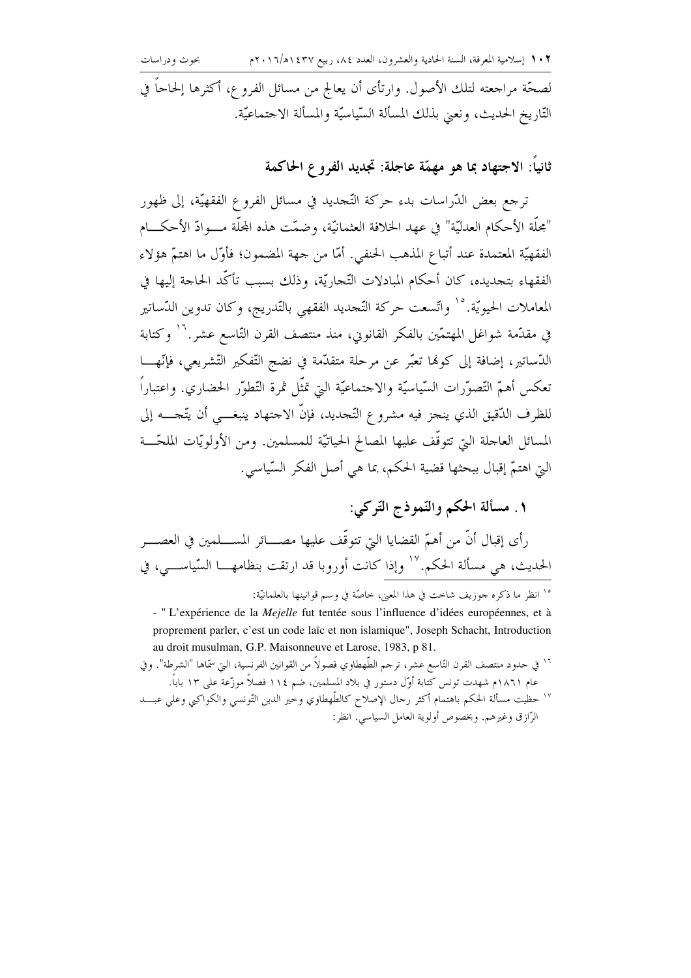لصحَّة مراجعته لتلك الأصول. وارتأى أن يعالج من مسائل الفروع، أكثرها إلحاحاً في التّاريخ الحديث، ونعيّ بذلك المسألة السّياسيّة والمسألة الاجتماعيّة.

ثانياً: الاجتهاد بما هو مهمَّة عاجلة: تجديد الفروع الحاكمة

ترجع بعض الدّراسات بدء حركة التّجديد في مسائل الفروع الفقهيّة، إلى ظهور "مجلَّة الأحكام العدليّة" في عهد الخلافة العثمانيّة، وضمّت هذه المجلّة مـــوادّ الأحكـــام الفقهيّة المعتمدة عند أتباع المذهب الحنفي. أمّا من حهة المضمون؛ فأوّل ما اهتمّ هؤلاء الفقهاء بتحديده، كان أحكام المبادلات التَّجاريَّة، وذلك بسبب تأكَّد الحاحة إليها في المعاملات الحيويّة.°` واتّسعت حركة التّحديد الفقهي بالتّدريج، وكان تدوين الدّساتير في مقدّمة شواغل المهتمّين بالفكر القانويي، منذ منتصف القرن التّاسع عشر.'`` وكتابة الدَّساتير، إضافة إلى كونما تعبَّر عن مرحلة متقدَّمة في نضج التَّفكير التَّشريعي، فإنَّهـــا تعكس أهمّ التّصوّرات السّياسيّة والاحتماعيّة التي تمثّل ثمرة التّطوّر الحضاري. واعتباراً للظرف الدُّقيق الذي ينجز فيه مشروع التَّجديد، فإنَّ الاحتهاد ينبغــــي أن يتَّجـــــه إلى المسائل العاجلة التي تتوقَّف عليها المصالح الحياتيَّة للمسلمين. ومن الأولويَّات الملحَّـــة التي اهتمَّ إقبال ببحثها قضية الحكم، بما هي أصل الفكر السّياسي.

# ١. مسألة الحكم والنَّموذج التَّوكي:

رأى إقبال أنَّ من أهمَّ القضايا التي تتوقَّف عليها مصــــائر المســـلمين في العصــــر الحديث، هي مسألة الحكم.'`` وإذا كانت أوروبا قد ارتقت بنظامهـــا السّياســـي، في

<sup>10</sup> انظر ما ذكره جوزيف شاحت في هذا المعنى، خاصَّة في وسم قوانينها بالعلمانيَّة:

- "L'expérience de la *Mejelle* fut tentée sous l'influence d'idées européennes, et à proprement parler, c'est un code laïc et non islamique", Joseph Schacht, Introduction au droit musulman, G.P. Maisonneuve et Larose, 1983, p 81.

<sup>١٦</sup> في حدود منتصف القرن التّاسع عشر، ترجم الطّهطاوي فصولاً من القوانين الفرنسية، التي سمّاها "الشرطة". وفي عام ١٨٦١م شهدت تونس كتابة أوّل دستور في بلاد المسلمين، ضم ١١٤ فصلاً موزّعة على ١٣ باباً. ١٧ حظيت مسألة الحكم باهتمام أكثر رحال الإصلاح كالطّهطاوي وخير الدين التّونسي والكواكبي وعلى عبـــد الرَّازِق وغيرهم. وبخصوص أولوية العامل السياسي. انظر :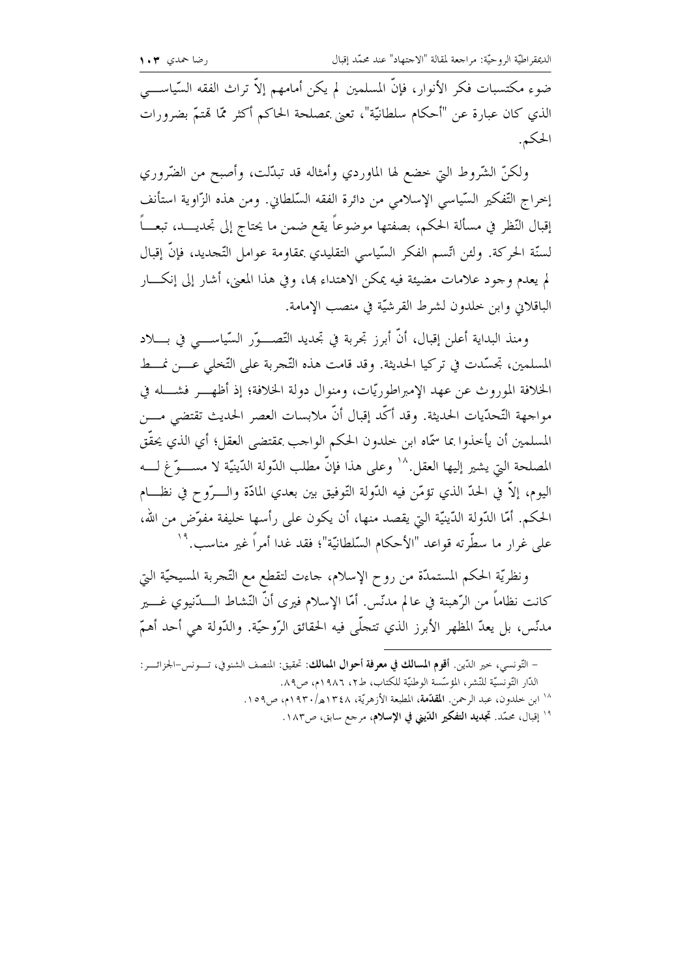الديمقراطيّة الروحيّة: مراجعة لمقالة "الاحتهاد" عند محمّد إقبال

ضوءِ مكتسبات فكر الأنوار، فإنَّ المسلمين لم يكن أمامهم إلاَّ تراث الفقه السَّياســــي الذي كان عبارة عن "أحكام سلطانيّة"، تعني بمصلحة الحاكم أكثر ممّا قمتمّ بضرورات الحكم.

ولكنّ الشّروط التي حضع لها الماوردي وأمثاله قد تبدّلت، وأصبح من الضّروري إحراج التَّفكير السَّياسي الإسلامي من دائرة الفقه السَّلطاني. ومن هذه الزَّاوية استأنف إقبال النّظر في مسألة الحكم، بصفتها موضوعاً يقع ضمن ما يحتاج إلى تحديــــد، تبعـــاً لسنَّة الحركة. ولئن اتَّسم الفكر السَّياسي التقليدي بمقاومة عوامل التَّحديد، فإنَّ إقبال لم يعدم وجود علامات مضيئة فيه يمكن الاهتداء بما، وفي هذا المعنى، أشار إلى إنكـــار الباقلاني وابن خلدون لشرط القرشيّة في منصب الإمامة.

ومنذ البداية أعلن إقبال، أنَّ أبرز تجربة في تجديد التَّصـــوَّر السَّياســــي في بــــلاد المسلمين، تجسَّدت في تركيا الحديثة. وقد قامت هذه التَّجربة على التَّخلي عــــن نمـــط الخلافة الموروث عن عهد الإمبراطوريّات، ومنوال دولة الخلافة؛ إذ أظهــــر فشــــله في مواجهة التّحدّيات الحديثة. وقد أكّد إقبال أنّ ملابسات العصر الحديث تقتضي مــــن المسلمين أن يأخذوا بما سمَّاه ابن خلدون الحكم الواحب بمقتضى العقل؛ أي الذي يحقَّق المصلحة التي يشير إليها العقل.^` وعلى هذا فإنَّ مطلب الدَّولة الدّينيَّة لا مســـوّ غ لـــه اليوم، إلاَّ في الحدِّ الذي تؤمَّن فيه الدُّولة التُّوفيق بين بعدي المادَّة والـــرُّوح في نظـــام الحكم. أمّا الدّولة الدّينيّة التي يقصد منها، أن يكون على رأسها خليفة مفوّض من الله، على غرار ما سطَّرته قواعد "الأحكام السَّلطانيّة"؛ فقد غدا أمراً غير مناسب."`

ونظريّة الحكم المستمدّة من روح الإسلام، حاءت لتقطع مع التّجربة المسيحيّة التي كانت نظاماً من الرَّهبنة في عالم مدنّس. أمّا الإسلام فيرى أنَّ النّشاط الــــدّنيوي غــــير مدنّس، بل يعدّ المظهر الأبرز الذي تتجلَّى فيه الحقائق الرَّوحيّة. والدَّولة هي أحد أهمّ

| – التّونسي، حير الدّين. <b>أقوم المسالك في معرفة أحوال الممالك</b> : تحقيق: المنصف الشنوفي، تـــونس–الجزائــــر: |
|------------------------------------------------------------------------------------------------------------------|
| الدَّار التَّونسيَّة للنَّشر، المؤسَّسة الوطنيَّة للكتاب، ط٢، ١٩٨٦م، ص٨٩.                                        |
| <sup>١٨</sup> ابن خلدون، عبد الرحمن. <b>المقدّمة</b> ، المطبعة الأزهريّة، ١٣٤٨هـ/١٩٣٠م، ص١٥٩.                    |
| <sup>١٩</sup> إقبال، محمّد. <b>تجديد التفكير الدّيني في الإسلام</b> ، مرجع سابق، ص١٨٣.                           |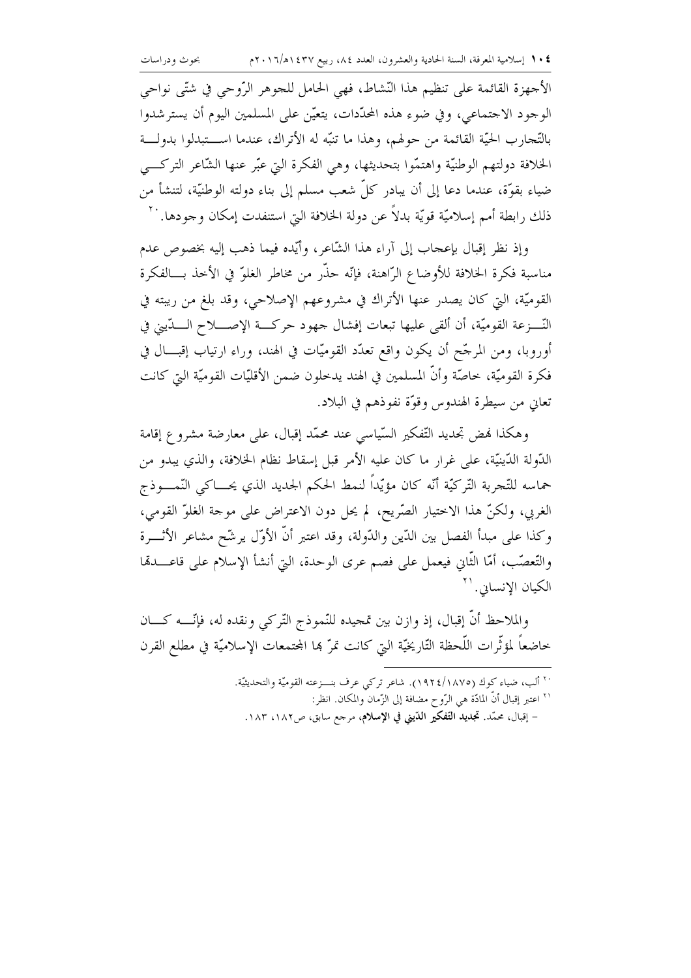الأجهزة القائمة على تنظيم هذا النّشاط، فهي الحامل للجوهر الرّوحي في شتّى نواحي الوجود الاجتماعي، وفي ضوء هذه المحدَّدات، يتعيَّن على المسلمين اليوم أن يسترشدوا بالتّحارب الحيّة القائمة من حولهم، وهذا ما تنبّه له الأتراك، عندما اســـتبدلوا بدولـــة الخلافة دولتهم الوطنيَّة واهتمُّوا بتحديثها، وهي الفكرة التي عبَّر عنها الشَّاعر التركـــي ضياء بقوّة، عندما دعا إلى أن يبادر كلّ شعب مسلم إلى بناء دولته الوطنيّة، لتنشأ من ذلك رابطة أمم إسلاميّة قويّة بدلاً عن دولة الخلافة التي استنفدت إمكان وحودها. ``

وإذ نظر إقبال بإعجاب إلى آراء هذا الشّاعر، وأيّده فيما ذهب إليه بخصوص عدم مناسبة فكرة الخلافة للأوضاع الرّاهنة، فإنّه حذّر من مخاطر الغلوّ في الأخذ بـــالفكرة القوميّة، التي كان يصدر عنها الأتراك في مشروعهم الإصلاحي، وقد بلغ من ريبته في النَّـــزعة القوميَّة، أن ألقى عليها تبعات إفشال جهود حركـــة الإصـــــلاح الــــدّيني في أوروبا، ومن المرحِّح أن يكون واقع تعدَّد القوميَّات في الهند، وراء ارتياب إقبـــال في فكرة القوميَّة، حاصَّة وأنَّ المسلمين في الهند يدخلون ضمن الأقليَّات القوميَّة التي كانت تعاني من سيطرة الهندوس وقوَّة نفوذهم في البلاد.

وهكذا فهض تجديد التَّفكير السَّياسي عند محمَّد إقبال، على معارضة مشروع إقامة الدُّولة الدِّينيَّة، على غرار ما كان عليه الأمر قبل إسقاط نظام الخلافة، والذي يبدو من حماسه للتَّجربة التَّركيَّة أنَّه كان مؤيَّداً لنمط الحكم الجديد الذي يحـــاكي النَّمــــوذج الغربي، ولكنَّ هذا الاختيار الصَّريح، لم يحلُّ دون الاعتراض على موحة الغلوُّ القومي، وكذا على مبدأ الفصل بين الدّين والدّولة، وقد اعتبر أنّ الأوّل يرشّح مشاعر الأثــــرة والتَّعصُّب، أمَّا الثَّابي فيعمل على فصم عرى الوحدة، التيّ أنشأ الإسلام على قاعــــدهّا الكيان الإنسابي. ``

والملاحظ أنَّ إقبال، إذ وازن بين تمحيده للنَّموذج التَّركي ونقده له، فإنَّــــه كــــان خاضعاً لمؤثَّرات اللَّحظة التّارِيخيّة الّتي كانت تمرّ بما المحتمعات الإسلاميّة في مطلع القرن

> `` ألب، ضياء كوك (١٨٧٥/١٩٢٤). شاعر تركي عرف بنـــزعته القوميّة والتحديثيّة. `` اعتبر إقبال أنَّ المادَّة هي الرَّو ح مضافة إلى الزَّمان والمكان. انظر: – إقبال، محمّد. تجمديد التّفكير الدّيني في الإسلام، مرجع سابق، ص١٨٢، ١٨٣.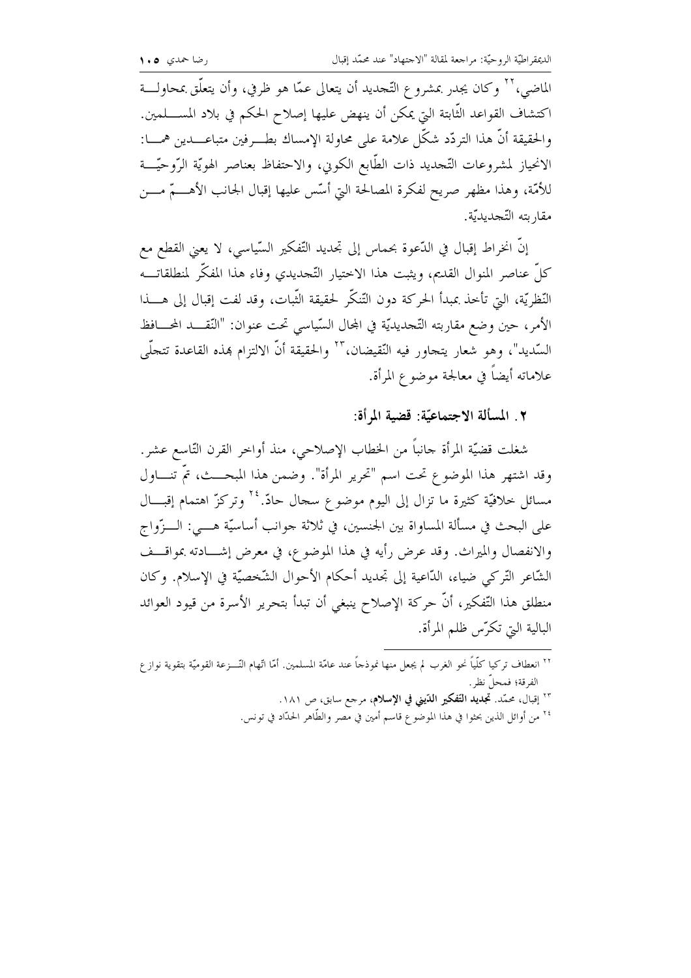الماضي،'' وكان يجدر بمشروع التَّجديد أن يتعالى عمَّا هو ظرفي، وأن يتعلَّق بمحاولـــة اكتشاف القواعد الثَّابتة التي يمكن أن ينهض عليها إصلاح الحكم في بلاد المســــلمين. والحقيقة أنَّ هذا التردَّد شكَّل علامة على محاولة الإمساك بطـــرفين متباعــــدين همــــا: الانحياز لمشروعات التَّجديد ذات الطَّابع الكوين، والاحتفاظ بعناصر الهويَّة الرَّوحيَّـــة للأمَّة، وهذا مظهر صريح لفكرة المصالحة التي أسَّس عليها إقبال الجانب الأهــــمَّ مــــن مقار بته التّجديديّة.

إنَّ انخراط إقبال في الدَّعوة بحماس إلى تجديد التَّفكير السَّياسي، لا يعني القطع مع كلُّ عناصر المنوال القديم، ويثبت هذا الاختيار التَّجديدي وفاء هذا المفكَّر لمنطلقاتـــه النَّظريَّة، الَّتِي تأخذ بمبدأ الحركة دون التَّنكُّر لحقيقة الثَّبات، وقد لفت إقبال إلى هــــذا الأمر، حين وضع مقاربته التَّجديديَّة في المجال السَّياسي تحت عنوان: "النَّقـــد المحـــافظ السّديد"، وهو شعار يتحاور فيه النّقيضان،"` والحقيقة أنّ الالتزام بمذه القاعدة تتحلّى علاماته أيضاً في معالجة موضوع المرأة.

### ٢. المسألة الاجتماعيّة: قضية المرأة:

شغلت قضيّة المرأة حانباً من الخطاب الإصلاحي، منذ أواخر القرن التّاسع عشر. وقد اشتهر هذا الموضوع تحت اسم "تحرير المرأة". وضمن هذا المبحـــث، تمَّ تنـــاول مسائل حلافيّة كثيرة ما تزال إلى اليوم موضوع سحال حادّ.<sup>٢٤</sup> وتركزّ اهتمام إقبـــال على البحث في مسألة المساواة بين الجنسين، في ثلاثة جوانب أساسيّة هــــي: الـــزّواج والانفصال والميراث. وقد عرض رأيه في هذا الموضوع، في معرض إشــــادته بمواقــــف الشَّاعر التَّركي ضياء، الدَّاعية إلى تجديد أحكام الأحوال الشَّخصيَّة في الإسلام. وكان منطلق هذا التّفكير، أنّ حركة الإصلاح ينبغي أن تبدأ بتحرير الأسرة من قيود العوائد البالية البيّ تكرّس ظلم المرأة.

٢٢ انعطاف تركيا كلّياً نحو الغرب لم يجعل منها نموذجاً عند عامّة المسلمين. أمّا اتّهام النّـــزعة القوميّة بتقوية نوازع الفرقة؛ فمحل نظر . <sup>٢٣</sup> إقبال، محمّد. تج**ديد التّفكير الدّيني في الإسلام**، مرحع سابق، ص ١٨١. ٢٤ من أوائل الذين بحثوا في هذا الموضوع قاسم أمين في مصر والطَّاهر الحدَّاد في تونس.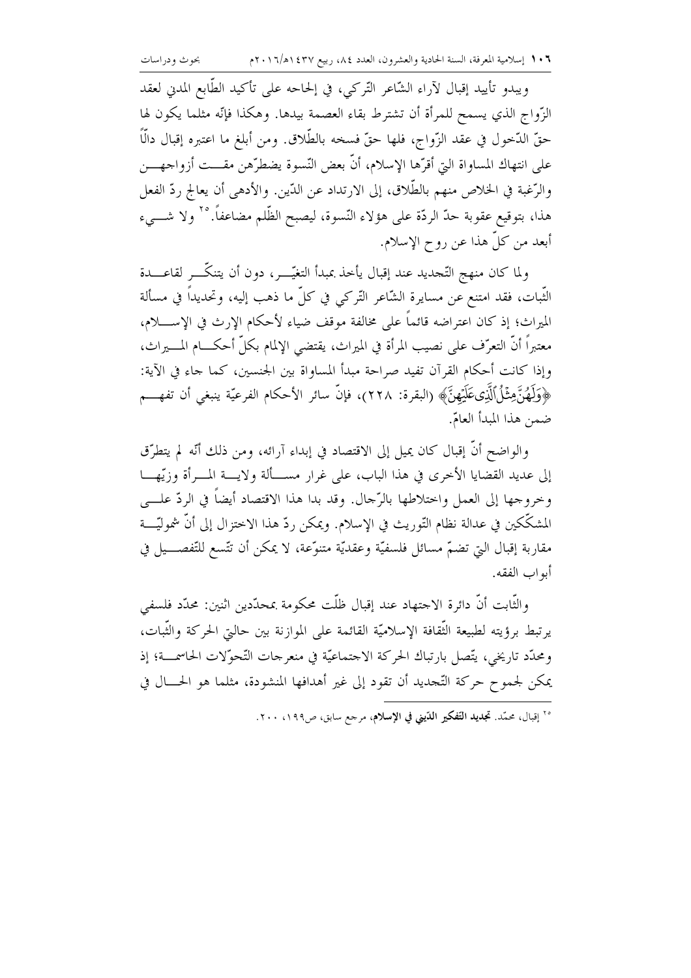ويبدو تأييد إقبال لآراء الشَّاعر التَّركي، في إلحاحه على تأكيد الطَّابع المدني لعقد الزَّواج الذي يسمح للمرأة أن تشترط بقاء العصمة بيدها. وهكذا فإنَّه مثلما يكون لها حقّ الدّخول في عقد الزّواج، فلها حقّ فسخه بالطّلاق. ومن أبلغ ما اعتبره إقبال دالّاً على انتهاك المساواة التيّ أقرّها الإسلام، أنَّ بعض النّسوة يضطرّهن مقـــت أزواجهـــن والرُّغبة في الخلاص منهم بالطِّلاق، إلى الارتداد عن الدّين. والأدهي أن يعالج ردّ الفعل هذا، بتوقيع عقوبة حدّ الردّة على هؤلاء النّسوة، ليصبح الظّلم مضاعفاً. °` ولا شـــيء أبعد من كلٌّ هذا عن روح الإسلام.

ولما كان منهج التَّجديد عند إقبال يأخذ بمبدأ التغيُّـــر، دون أن يتنكَّـــر لقاعــــدة الثَّبات، فقد امتنع عن مسايرة الشَّاعر التَّركي في كلِّ ما ذهب إليه، وتحديداً في مسألة الميراث؛ إذ كان اعتراضه قائماً على مخالفة موقف ضياء لأحكام الإرث في الإســـــلام، معتبراً أنَّ التعرُّف على نصيب المرأة في الميراث، يقتضي الإلمام بكلِّ أحكـــام المـــــيراث، وإذا كانت أحكام القرآن تفيد صراحة مبدأ المساواة بين الجنسين، كما جاء في الآية: ﴿وَلَهُنَّ مِثْلُ ٱلَّذِي عَلَيْهِنَّ﴾ (البقرة: ٢٢٨)، فإنَّ سائر الأحكام الفرعيّة ينبغي أن تفهـــم ضمن هذا المبدأ العامّ.

والواضح أنَّ إقبال كان يميل إلى الاقتصاد في إبداء آرائه، ومن ذلك أنَّه لم يتطرَّق إلى عديد القضايا الأحرى في هذا الباب، على غرارٍ مســألة ولايـــة المــرأة وزيّهـــا وخروجها إلى العمل واختلاطها بالرَّحال. وقد بدا هذا الاقتصاد أيضاً في الردّ علــــ ٍ المشكِّكين في عدالة نظام التَّوريث في الإسلام. ويمكن ردّ هذا الاختزال إلى أنَّ شموليَّــــة مقاربة إقبال التي تضمَّ مسائل فلسفيَّة وعقديَّة متنوَّعة، لا يمكن أن تتَّسع للتَّفصـــيل في أبواب الفقه.

والثَّابت أنَّ دائرة الاحتهاد عند إقبال ظلَّت محكومة بمحدَّدين اثنين: محدَّد فلسفي يرتبط برؤيته لطبيعة التَّقافة الإسلاميَّة القائمة على الموازنة بين حاليٌّ الحركة والتَّبات، ومحدَّد تاريخي، يتَّصل بارتباك الحركة الاجتماعيَّة في منعرجات التَّحوُّلات الحاسمــة؛ إذ يمكن لجموح حركة التَّحديد أن تقود إلى غير أهدافها المنشودة، مثلما هو الحـــال في

<sup>&</sup>lt;sup>70</sup> إقبال، محمّد. **تجديد التّفكير الدّيني في الإسلام**، مرحع سابق، ص١٩٩، ٢٠٠.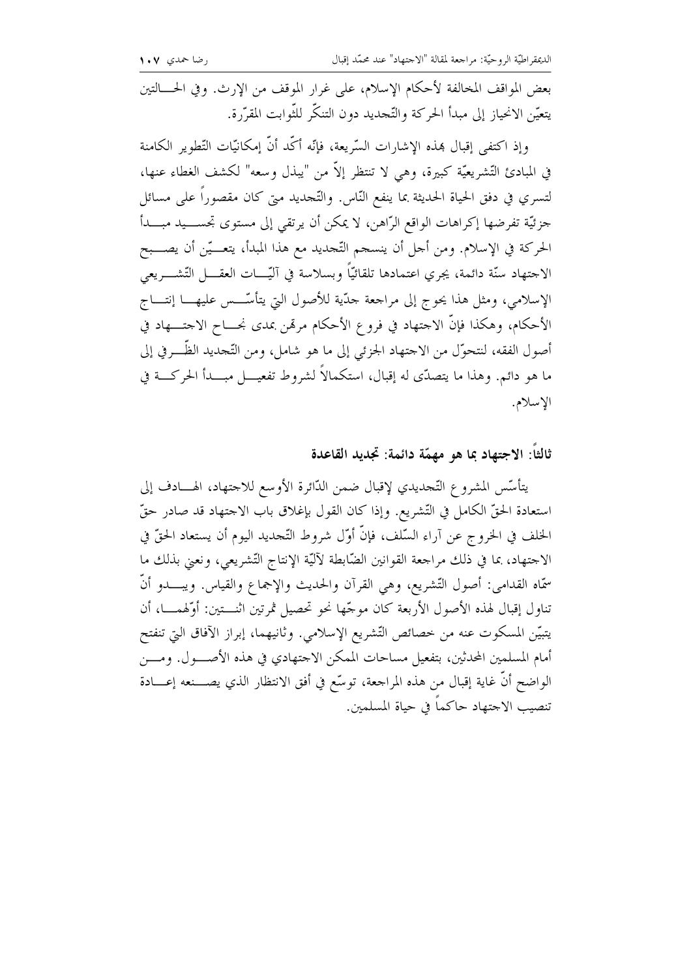بعض المواقف المخالفة لأحكام الإسلام، على غرار الموقف من الإرث. وفي الحـــالتين يتعيّن الانحياز إلى مبدأ الحركة والتّحديد دون التنكّر للثّوابت المقرّرة.

وإذ اكتفى إقبال بهذه الإشارات السّريعة، فإنّه أكّد أنّ إمكانيّات التّطوير الكامنة في المبادئ التّشريعيّة كبيرة، وهي لا تنتظر إلاّ من "يبذل وسعه" لكشف الغطاء عنها، لتسري في دفق الحياة الحديثة بما ينفع النّاس. والتّحديد متي كان مقصوراً على مسائل جزئيّة تفرضها إكراهات الواقع الرّاهن، لا يمكن أن يرتقي إلى مستوى تحســـيد مبــــدأ الحركة في الإسلام. ومن أجل أن ينسجم التَّجديد مع هذا المبدأ، يتعـــيّن أن يصـــبح الاحتهاد سنّة دائمة، يجري اعتمادها تلقائيّاً وبسلاسة في آليّـــات العقــــل التّشــــريعي الإسلامي، ومثل هذا يحوج إلى مراجعة حدّية للأصول التي يتأسّـــس عليهــــا إنتــــاج الأحكام، وهكذا فإنَّ الاحتهاد في فروع الأحكام مرتمن بمدى نحـــاح الاحتــــهاد في أصول الفقه، لنتحوَّل من الاحتهاد الجزئي إلى ما هو شامل، ومن التَّحديد الظَّـــرفي إلى ما هو دائم. وهذا ما يتصدّى له إقبال، استكمالاً لشروط تفعيــــل مبـــــدأ الحركــــة في الإسلام.

## ثالثاً: الاجتهاد بما هو مهمّة دائمة: تجديد القاعدة

يتأسّس المشروع التّحديدي لإقبال ضمن الدّائرة الأوسع للاحتهاد، الهـــادف إلى استعادة الحقّ الكامل في التّشريع. وإذا كان القول بإغلاق باب الاجتهاد قد صادر حقّ الخلف في الخروج عن آراء السَّلف، فإنَّ أوَّل شروط التَّحديد اليوم أن يستعاد الحقَّ في الاجتهاد، بما في ذلك مراجعة القوانين الضَّابطة لآليَّة الإنتاج التَّشريعي، ونعين بذلك ما سمَّاه القدامي: أصول التَّشريع، وهي القرآن والحديث والإجماع والقياس. ويبـــدو أنَّ تناول إقبال لهذه الأصول الأربعة كان موجّها نحو تحصيل ثمرتين اثنـــتين: أوّلهمــــا، أن يتبيّن المسكوت عنه من خصائص التّشريع الإسلامي. وثانيهما، إبراز الآفاق التي تنفتح أمام المسلمين المحدثين، بتفعيل مساحات الممكن الاحتهادي في هذه الأصــــول. ومــــن الواضح أنَّ غاية إقبال من هذه المراجعة، توسَّع في أفق الانتظار الذي يصــــنعه إعــــادة تنصيب الاجتهاد حاكماً في حياة المسلمين.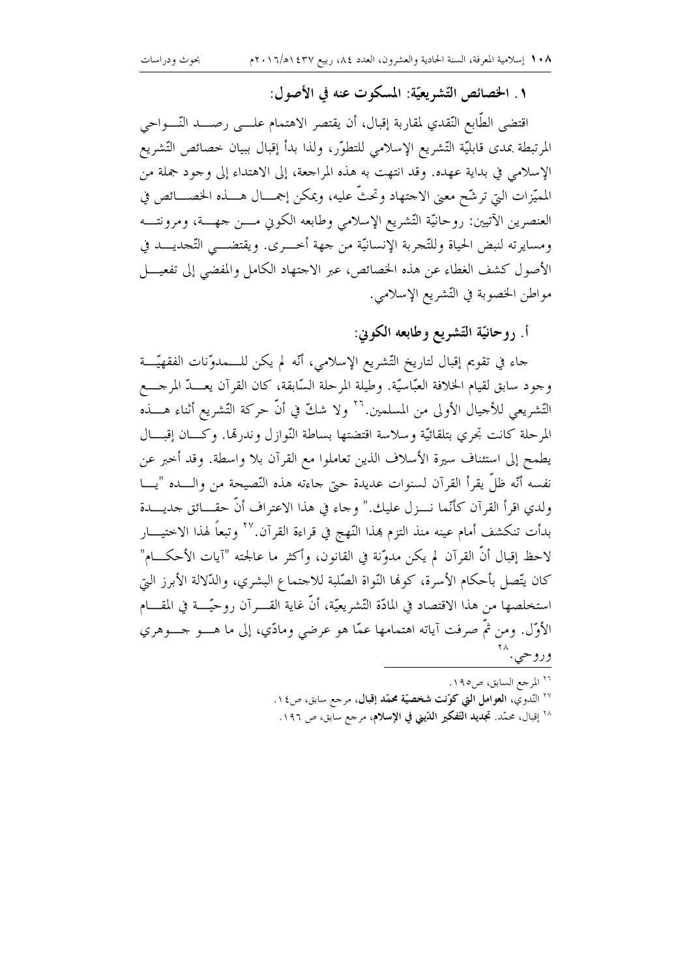## ١. الخصائص التِّشريعيَّة: المسكوت عنه في الأصول:

اقتضى الطَّابع النَّقدي لمقاربة إقبال، أن يقتصر الاهتمام علـــي رصــــد النّــــواحي المرتبطة بمدى قابليّة التّشريع الإسلامي للتطوّر، ولذا بدأ إقبال ببيان خصائص التّشريع الإسلامي في بداية عهده. وقد انتهت به هذه المراجعة، إلى الاهتداء إلى وجود جملة من المميّزات التيّ ترشّح معنى الاجتهاد وتحتُّ عليه، ويمكن إجمـــال هــــذه الخصــــائص في العنصرين الآتيين: روحانيّة التّشريع الإسلامي وطابعه الكوبي مـــن جهـــة، ومرونتـــه ومسايرته لنبض الحياة وللتَّجربة الإنسانيَّة من جهة أحـــرى. ويقتضـــي التَّجديـــد في الأصول كشف الغطاء عن هذه الخصائص، عبر الاحتهاد الكامل والمفضى إلى تفعيــــل مواطن الخصوبة في التّشريع الإسلامي.

أ. روحانيّة التّشريع وطابعه الكوني:

حاء في تقويم إقبال لتاريخ التّشريع الإسلامي، أنّه لم يكن للـــمدوّنات الفقهيّـــة وجود سابق لقيام الخلافة العبَّاسيَّة. وطيلة المرحلة السَّابقة، كان القرآن يعـــدّ المرجــــع التّشريعي للأجيال الأولى من المسلمين.'`` ولا شكّ في أنّ حركة التّشريع أثناء هــــذه المرحلة كانت تجري بتلقائيَّة وسلاسة اقتضتها بساطة النَّوازل وندرتما. وكــان إقبـــال يطمح إلى استئناف سيرة الأسلاف الذين تعاملوا مع القرآن بلا واسطة. وقد أحبر عن نفسه أنَّه ظلَّ يقرأ القرآن لسنوات عديدة حتى جاءته هذه النَّصيحة من والــــده "يــــا ولدي اقرأ القرآن كأنَّما نـــزل عليك." وجاء في هذا الاعتراف أنَّ حقـــائق جديـــدة بدأت تنكشف أمام عينه منذ التزم بهذا النّهج في قراءة القرآن.'`` وتبعاً لهذا الاختيــــار لاحظ إقبال أنَّ القرآن لم يكن مدوِّنة في القانون، وأكثر ما عالجته "آيات الأحكـــام" كان يتَّصل بأحكام الأسرة، كوها النَّواة الصَّلبة للاجتماع البشري، والدَّلالة الأبرز التي استخلصها من هذا الاقتصاد في المادّة التّشريعيّة، أنّ غاية القـــرآن روحيّـــة في المقــــام الأوَّل. ومن ثم صرفت آياته اهتمامها عمَّا هو عرضي ومادِّي، إلى ما هــــو حــــوهري وروحي.

> <sup>٢٦</sup> المرجع السابق، ص١٩٥. <sup>۲۷</sup> النّدوي، ا**لعوامل التي كوّنت شخصيّة محمّد إقبال**، مرجع سابق، ص١٤. <sup>٢٨</sup> إقبال، محمّد. تج**ديد التّفكير الدّيني في الإسلام**، مرحع سابق، ص ١٩٦.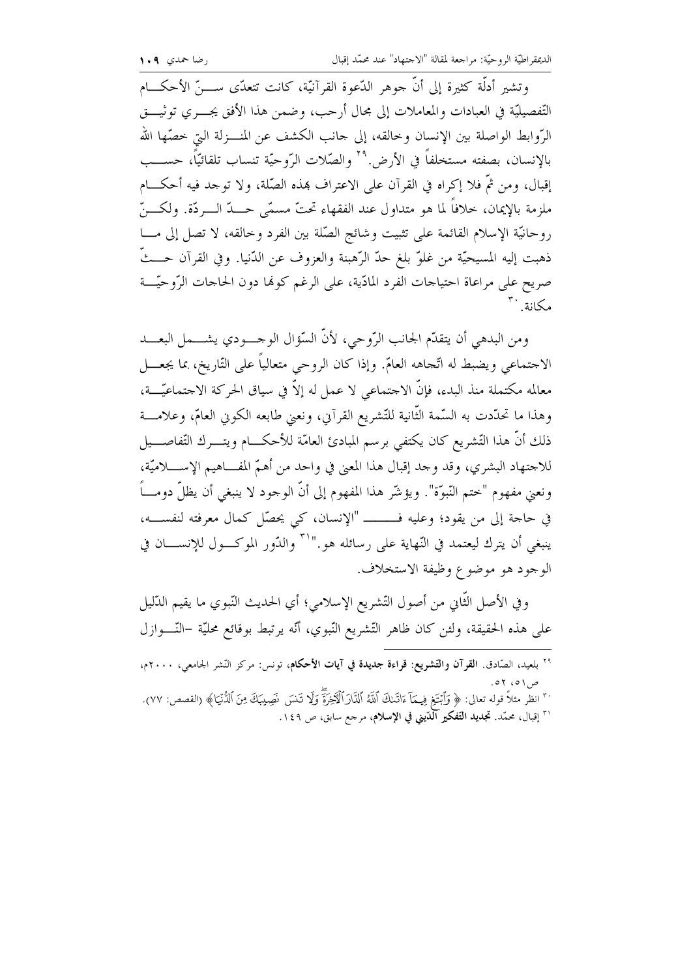وتشير أدلَّة كثيرة إلى أنَّ جوهر الدَّعوة القرآنيَّة، كانت تتعدَّى ســــنَّ الأحكـــام التَّفصيليَّة في العبادات والمعاملات إلى مجال أرحب، وضمن هذا الأفق يجــــرى توثيـــــق الرَّوابط الواصلة بين الإنسان وخالقه، إلى حانب الكشف عن المنـــزلة التي خصّها الله بالإنسان، بصفته مستخلفاً في الأرض.'' والصَّلات الرّوحيَّة تنساب تلقائيّاً، حســـب إقبال، ومن ثمَّ فلا إكراه في القرآن على الاعتراف بمذه الصَّلة، ولا توحد فيه أحكـــام ملزمة بالإيمان، خلافاً لما هو متداول عند الفقهاء تحتّ مسمّى حـــدّ الــــردّة. ولكــــنّ روحانيّة الإسلام القائمة على تثبيت وشائج الصّلة بين الفرد وخالقه، لا تصل إلى مـــا ذهبت إليه المسيحيَّة من غلوٍّ بلغ حدِّ الرَّهبنة والعزوف عن الدُّنيا. وفي القرآن حـــثَّ صريح على مراعاة احتياجات الفرد المادّية، على الرغم كولها دون الحاجات الرّوحيّـــة مكانة بته

ومن البدهي أن يتقدَّم الجانب الرَّوحي، لأنَّ السَّوِّال الوحسودي يشسمل البعسد الاحتماعي ويضبط له اتَّجاهه العامّ. وإذا كان الروحي متعالياً على التّاريخ، بما يجعــــل معالمه مكتملة منذ البدء، فإنَّ الاحتماعي لا عملٍ له إلاَّ في سياق الحركة الاحتماعيَّــــة، وهذا ما تحدَّدت به السَّمة الثَّانية للتَّشريع القرآين، ونعيي طابعه الكوين العامّ، وعلامــــة ذلك أنَّ هذا التَّشريع كان يكتفي برسم المبادئ العامَّة للأحكـــام ويتــــرك التَّفاصــــيل للاحتهاد البشري، وقد وحد إقبال هذا المعنى في واحد من أهمّ المفــاهيم الإســــلاميّة، ونعيي مفهوم "حتم النَّبوَّة". ويؤشَّر هذا المفهوم إلى أنَّ الوحود لا ينبغي أن يظلُّ دومـــاً ينبغي أن يترك ليعتمد في النّهاية على رسائله هو.''`` والدّور الموكـــول للإنســــان في الوجود هو موضوع وظيفة الاستخلاف.

وفي الأصل الثَّاني من أصول التَّشريع الإسلامي؛ أي الحديث النَّبوي ما يقيم الدَّليل على هذه الحقيقة، ولئن كان ظاهر التّشريع النّبوي، أنّه يرتبط بوقائع محليّة –النّــــوازل

| <sup>٢٩</sup> بلعيد، الصّادق. ا <b>لقرآن والتّشريع: قراءة جديدة في آيات الأحكام</b> ، تونس: مركز النّشر الجامعي، ٢٠٠٠م،                                                                                                     |             |
|-----------------------------------------------------------------------------------------------------------------------------------------------------------------------------------------------------------------------------|-------------|
|                                                                                                                                                                                                                             | ص ۱ ه، ۲ ه. |
| ٣٠ انظر مثلاً قوله تعالى: ﴿ وَٱبْتَغِ فِيمَآ ءَاتَـنكَ ٱللَّهُ ٱلذَّارَ ٱلْأَخِزَةَۖ وَلَا تَـنسَ نَصِيبَكَ مِنَ ٱلدُّنْيَـا﴾ (القصص: ٧٧).<br>٣١ إقبال، محمّد. <b>تجديد التّفكير الدّيني في الإسلام</b> ، مرحع سابق، ص ١٤٩. |             |
|                                                                                                                                                                                                                             |             |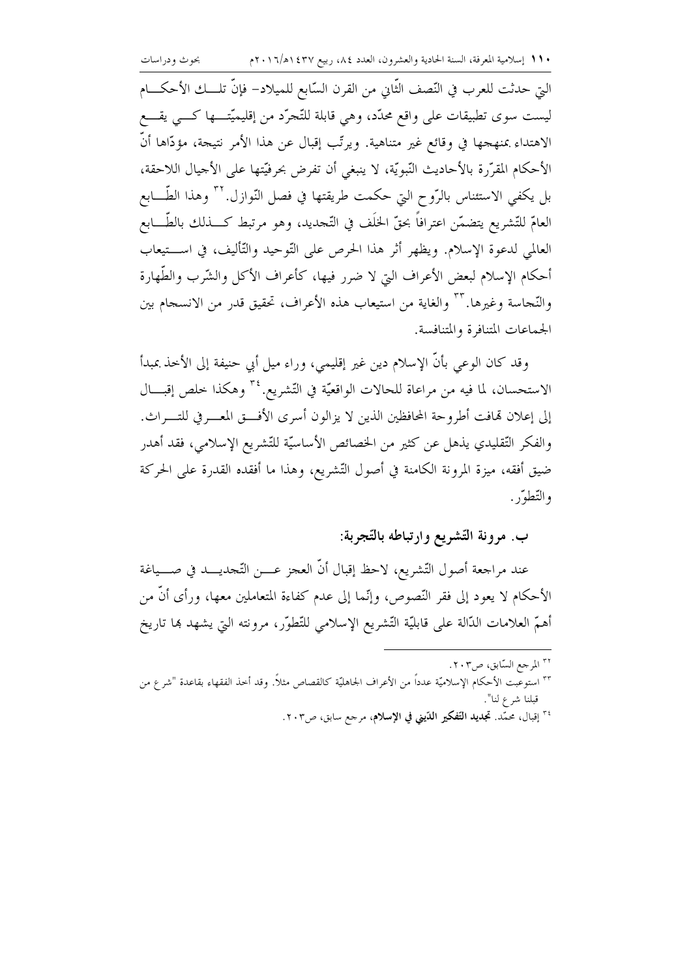بحوث ودراسات

التي حدثت للعرب في النّصف الثّابي من القرن السّابع للميلاد– فإنّ تلــــك الأحكــــام ليست سوي تطبيقات على واقع محدَّد، وهي قابلة للتَّجرُّد من إقليميَّتـــها كـــي يقــــع الاهتداء بمنهجها في وقائع غير متناهية. ويرتّب إقبال عن هذا الأمر نتيجة، مؤدّاها أنّ الأحكام المقرَّرة بالأحاديث النَّبويَّة، لا ينبغي أن تفرض بحرفيَّتها على الأجيال اللاحقة، بل يكفي الاستئناس بالرَّوح التي حكمت طريقتها في فصل النَّوازل. `` وهذا الطَّـــابع العامّ للتّشريع يتضمّن اعترافاً بحقّ الحلّف في التّجديد، وهو مرتبط كــــذلك بالطّــــابع العالمي لدعوة الإسلام. ويظهر أثر هذا الحرص على التّوحيد والتّأليف، في اســـتيعاب أحكام الإسلام لبعض الأعراف التي لا ضرر فيها، كأعراف الأكل والشَّرب والطَّهارة والنَّجاسة وغيرها. ٣٣ والغاية من استيعاب هذه الأعراف، تحقيق قدر من الانسجام بين الجماعات المتنافرة والمتنافسة.

وقد كان الوعى بأنَّ الإسلام دين غير إقليمي، وراء ميل أبي حنيفة إلى الأخذ بمبدأ الاستحسان، لما فيه من مراعاة للحالات الواقعيّة في التّشريع.<sup>٣٤</sup> وهكذا خلص إقبـــال إلى إعلان تمافت أطروحة المحافظين الذين لا يزالون أسرى الأفسق المعسرفي للتسراث. والفكر التَّقليدي يذهل عن كثير من الخصائص الأساسيَّة للتَّشريع الإسلامي، فقد أهدر ضيق أفقه، ميزة المرونة الكامنة في أصول التّشريع، وهذا ما أفقده القدرة على الحركة والتّطوّر .

### ب. مرونة التّشريع وارتباطه بالتّجربة:

عند مراجعة أصول التّشريع، لاحظ إقبال أنّ العجز عــــن التّجديــــد في صــــياغة الأحكام لا يعود إلى فقر النَّصوص، وإنَّما إلى عدم كفاءة المتعاملين معها، ورأى أنَّ من أهمّ العلامات الدَّالة على قابليّة التّشريع الإسلامي للتّطوّر، مرونته التي يشهد هما تاريخ

- <sup>۳۲</sup> المرجع السّابق، ص۲۰۳.
- ٢٣ استوعبت الأحكام الإسلاميّة عدداً من الأعراف الجاهليّة كالقصاص مثلاً. وقد أخذ الفقهاء بقاعدة "شرع من قبلنا شرع لنا".
	- <sup>٣٤</sup> إقبال، محمّد. تج**ديد التّفكير الدّيني في الإسلام**، مرحع سابق، ص٢٠٣.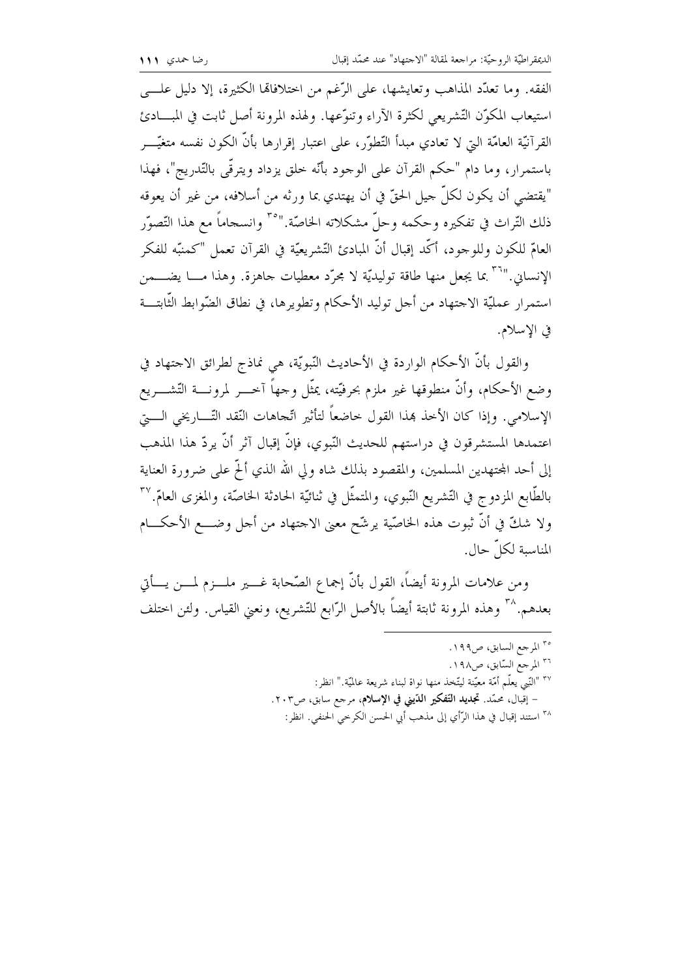الفقه. وما تعدَّد المذاهب وتعايشها، على الرَّغم من اختلافاها الكثيرة، إلا دليل علـــي استيعاب المكوّن التّشريعي لكثرة الآراء وتنوّعها. ولهذه المرونة أصل ثابت في المبـــادئ القرآنيّة العامّة التي لا تعادي مبدأ التّطوّر، على اعتبار إقرارها بأنّ الكون نفسه متغيّــــر باستمرار، وما دام "حكم القرآن على الوحود بأنَّه خلق يزداد ويترقَّى بالتَّدريج"، فهذا "يقتضي أن يكون لكلَّ حيل الحقَّ في أن يهتدي بما ورثه من أسلافه، من غير أن يعوقه ذلك التَّراث في تفكيره وحكمه وحلَّ مشكلاته الخاصَّة."°" وانسجاماً مع هذا التَّصوُّر العامّ للكون وللوحود، أكَّد إقبال أنَّ المبادئ التَّشريعيَّة في القرآن تعمل "كمنبَّه للفكر الإنساني.'''`` بما يجعل منها طاقة توليديّة لا مجرّد معطيات حاهزة. وهذا مـــا يضــــمن استمرار عمليّة الاحتهاد من أحل توليد الأحكام وتطويرها، في نطاق الضّوابط الثّابتـــة في الاسلام.

والقول بأنَّ الأحكام الواردة في الأحاديث النَّبويَّة، هي نماذج لطرائق الاحتهاد في وضع الأحكام، وأنَّ منطوقها غير ملزم بحرفيَّته، يمثَّل وحهاً آخــــر لمرونــــة التَّشــــريع الإسلامي. وإذا كان الأخذ هذا القول خاضعاً لتأثير اتَّجاهات النُّقد التَّـــاريخي الــــتي اعتمدها المستشرقون في دراستهم للحديث النّبوي، فإنّ إقبال آثر أنّ يردّ هذا المذهب إلى أحد المحتهدين المسلمين، والمقصود بذلك شاه ولى الله الذي ألَّم على ضرورة العناية بالطَّابع المزدوج في التَّشريع النَّبوي، والمتمثَّل في ثنائيَّة الحادثة الخاصَّة، والمغزى العامّ. `` ولا شكَّ في أنَّ ثبوت هذه الخاصّية يرشّح معنى الاحتهاد من أحل وضــــع الأحكــــام المناسبة لكلّ حال.

ومن علامات المرونة أيضاً، القول بأنَّ إجماع الصَّحابة غــــير ملــــزم لمــــن يــــأتي بعدهم.^\* وهذه المرونة ثابتة أيضاً بالأصل الرّابع للتّشريع، ونعني القياس. ولئن اختلف

> <sup>٣٥</sup> المرجع السابق، ص١٩٩. <sup>٣٦</sup> المرجع السّابق، ص١٩٨. ٢٧ "النَّبي يعلُّم أمَّة معيَّنة ليتَّخذ منها نواة لبناء شريعة عالميَّة." انظر: - إقبال، محمّد. تجديد التّفكير الدّيني في الإسلام، مرجع سابق، ص٢٠٣. ٣٨ استند إقبال في هذا الرَّأي إلى مذهب أبي الحسن الكرحي الحنفي. انظر: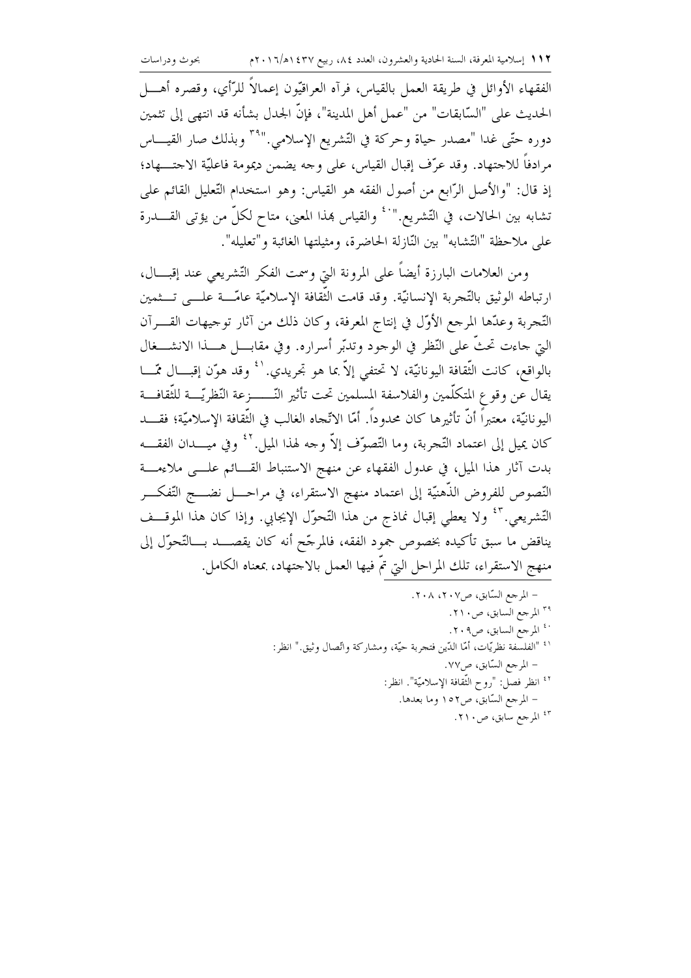الفقهاء الأوائل في طريقة العمل بالقياس، فرآه العراقيّون إعمالاً للرَّأي، وقصره أهــــل الحديث على "السَّابقات" من "عمل أهل المدينة"، فإنَّ الجدل بشأنه قد انتهى إلى تثمين دوره حتّى غدا "مصدر حياة وحركة في التّشريع الإسلامي." أنّ وبذلك صار القيـــاس مرادفاً للاجتهاد. وقد عرّف إقبال القياس، على وجه يضمن ديمومة فاعليّة الاجتــــهاد؛ إذ قال: "والأصل الرّابع من أصول الفقه هو القياس: وهو استخدام التّعليل القائم علي تشابه بين الحالات، في التّشريع.''`` والقياس بهذا المعنى، متاح لكلّ من يؤتى القـــــدرة على ملاحظة "التّشابه" بين النّازلة الحاضرة، ومثيلتها الغائبة و"تعليله".

ومن العلامات البارزة أيضاً على المرونة التي وسمت الفكر التّشريعي عند إقبـــال، ارتباطه الوثيق بالتَّجربة الإنسانيَّة. وقد قامت الثَّقافة الإسلاميَّة عامَّـــة علـــي تـــثمين التّحربة وعدّها المرحع الأوّل في إنتاج المعرفة، وكان ذلك من آثار توجيهات القــــرآن التي حاءت تحتٌ على النّظر في الوحود وتدبّر أسراره. وفي مقابـــل هــــذا الانشــــغال بالواقع، كانت الثَّقافة اليونانيَّة، لا تحتفي إلاَّ بما هو تجريدي.'<sup>٤</sup> وقد هوّن إقبـــال ممّـــا يقال عن وقوع المتكلَّمين والفلاسفة المسلمين تحت تأثير النَّــــــزعة النّظريّـــة للثّقافـــة اليو نانيَّة، معتبراً أنَّ تأثيرها كان محدوداً. أمَّا الاتِّجاه الغالب في الثَّقافة الإسلاميَّة؛ فقــــد كان يميل إلى اعتماد التَّجربة، وما التَّصوُّف إلاَّ وحه لهذا الميل.'' ۚ وفي ميــــدان الفقــــه بدت آثار هذا الميل، في عدول الفقهاء عن منهج الاستنباط القـــائم علـــي ملاءمـــة النَّصوص للفروض الذَّهنيَّة إلى اعتماد منهج الاستقراء، في مراحــــل نضـــــج التَّفكــــر التَّشريعي. أَ ۚ وَلا يعطي إقبال نماذج من هذا التَّحوُّل الإيجابي. وإذا كان هذا الموقـــف يناقض ما سبق تأكيده بخصوص جمود الفقه، فالمرحّح أنه كان يقصــــد بـــالتّحوّل إلى منهج الاستقراء، تلك المراحل التي تمّ فيها العمل بالاحتهاد، بمعناه الكامل.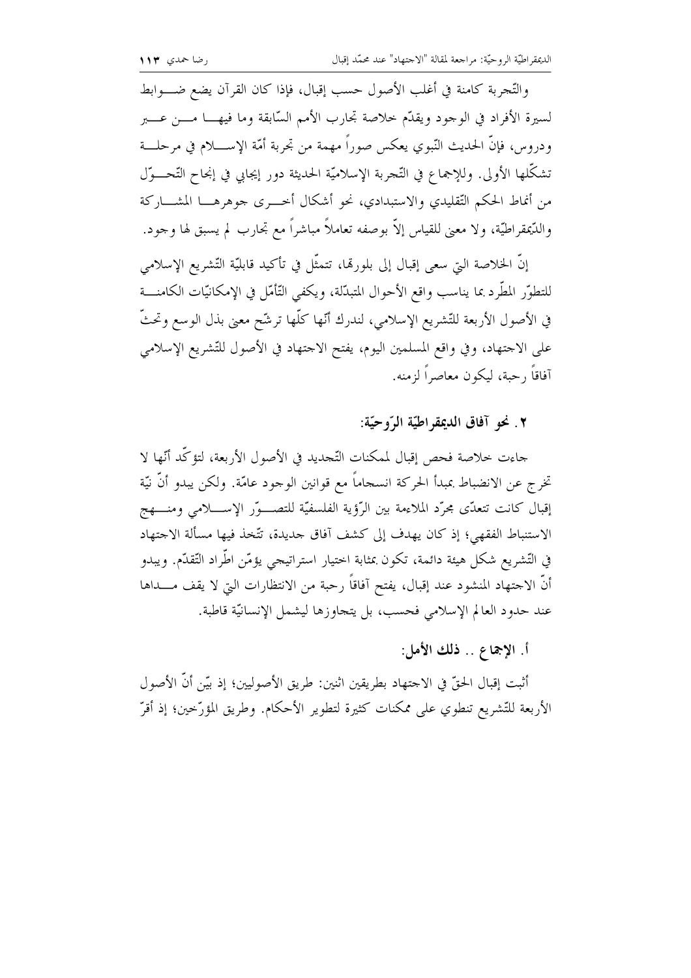والتَّحربة كامنة في أغلب الأصول حسب إقبال، فإذا كان القرآن يضع ضــــوابط لسيرة الأفراد في الوجود ويقدَّم حلاصة تجارب الأمم السَّابقة وما فيهـــا مــــن عــــبر ودروس، فإنَّ الحديث النَّبوي يعكس صوراً مهمة من تجربة أمَّة الإســــلام في مرحلــــة تشكُّلها الأولى. وللإجماع في التَّجربة الإسلاميَّة الحديثة دور إيجابي في إنجاح التَّحـــوَّل من أنماط الحكم التَّقليدي والاستبدادي، نحو أشكال أخــــرى جوهرهــــا المشــــاركة والدَّيمقراطيَّة، ولا معنى للقياس إلاَّ بوصفه تعاملاً مباشراً مع تجارب لم يسبق لها وحود.

إنَّ الخلاصة التي سعى إقبال إلى بلورتما، تتمثَّل في تأكيد قابليَّة التَّشريع الإسلامي للتطوّر المطّرد بما يناسب واقع الأحوال المتبدّلة، ويكفى التّأمّل في الإمكانيّات الكامنــــة في الأصول الأربعة للتّشريع الإسلامي، لندرك أنّها كلّها ترشّح معنى بذل الوسع وتحتّ على الاحتهاد، وفي واقع المسلمين اليوم، يفتح الاحتهاد في الأصول للتّشريع الإسلامي آفاقاً , حبة، ليكون معاصراً لزمنه.

#### ٢. نحو آفاق الديمقراطيّة الرّوحيّة:

جاءت خلاصة فحص إقبال لممكنات التَّجديد في الأصول الأربعة، لتؤكَّد أنَّها لا تخرج عن الانضباط بمبدأ الحركة انسجاماً مع قوانين الوجود عامّة. ولكن يبدو أنّ نيّة إقبال كانت تتعدّى محرّد الملاءمة بين الرَّؤية الفلسفيّة للتصــوّر الإســـلامي ومنــــهج الاستنباط الفقهي؛ إذ كان يهدف إلى كشف أفاق حديدة، تتَّخذ فيها مسألة الاحتهاد في التِّشريع شكل هيئة دائمة، تكون بمثابة اختيار استراتيجي يؤمَّن اطّْراد التَّقلُّم. ويبدو أنَّ الاجتهاد المنشود عند إقبال، يفتح آفاقاً رحبة من الانتظارات التي لا يقف مــــداها عند حدود العالم الإسلامي فحسب، بل يتحاوزها ليشمل الإنسانيَّة قاطبة.

# أ. الإجماع .. ذلك الأمل:

أثبت إقبال الحقّ في الاحتهاد بطريقين اثنين: طريق الأصوليين؛ إذ بيّن أنّ الأصول الأربعة للتَّشريع تنطوي على ممكنات كثيرة لتطوير الأحكام. وطريق المؤرِّخين؛ إذ أقرَّ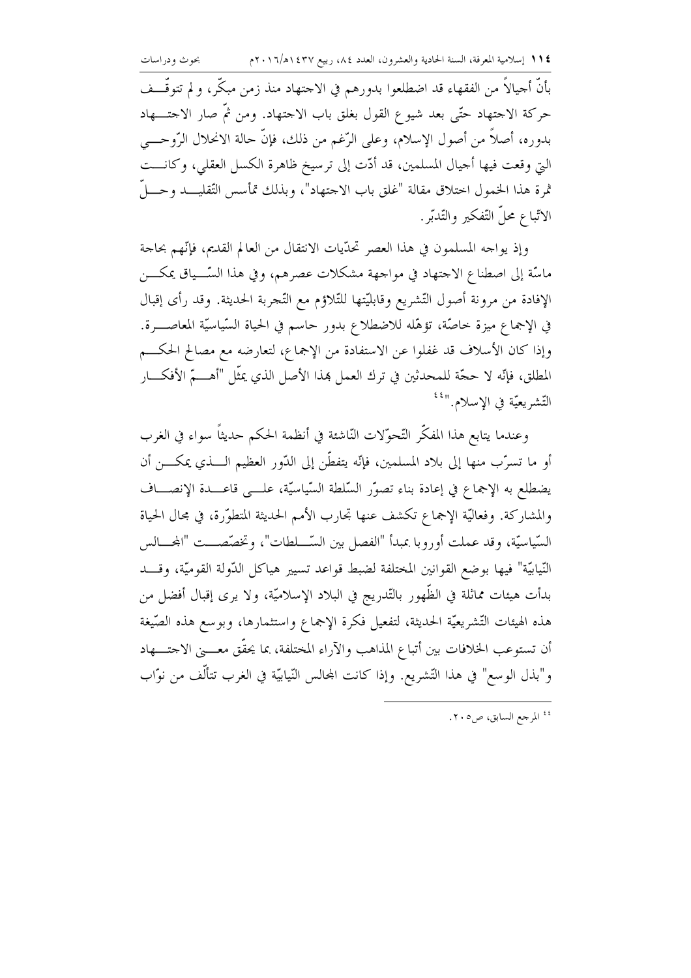بأنَّ أحيالاً من الفقهاء قد اضطلعوا بدورهم في الاحتهاد منذ زمن مبكَّر، و لم تتوقَّـــف حركة الاحتهاد حتّى بعد شيوع القول بغلق باب الاحتهاد. ومن ثمّ صار الاحتــــهاد بدوره، أصلاً من أصول الإسلام، وعلى الرُّغم من ذلك، فإنَّ حالة الانحلال الرَّوحـــي التي وقعت فيها أحيال المسلمين، قد أدّت إلى ترسيخ ظاهرة الكسل العقلبي، وكانـــت ثمرة هذا الخمول اختلاق مقالة "غلق باب الاحتهاد"، وبذلك تمأسس التّقليــــد وحــــلّ الاتّباع محلّ التّفكير والتّدبّر.

وإذ يواجه المسلمون في هذا العصر تحدّيات الانتقال من العالم القديم، فإنّهم بحاجة ماسَّة إلى اصطناع الاجتهاد في مواجهة مشكلات عصرهم، وفي هذا السَّـــياق يمكــــن الإفادة من مرونة أصول التّشريع وقابليّتها للتّلاؤم مع التّجربة الحديثة. وقد رأى إقبال في الإجماع ميزة حاصَّة، تؤهَّله للاضطلاع بدور حاسم في الحياة السّياسيّة المعاصــــرة. وإذا كان الأسلاف قد غفلوا عن الاستفادة من الإجماع، لتعارضه مع مصالح الحكـــم المطلق، فإنّه لا حجّة للمحدثين في ترك العمل هِذا الأصل الذي يمثّل "أهـــــمّ الأفكــــار التّشريعيّة في الإسلام.''<sup>٤٤</sup>

وعندما يتابع هذا المفكَّر التَّحوُّلات النَّاشئة في أنظمة الحكم حديثاً سواء في الغرب أو ما تسرَّب منها إلى بلاد المسلمين، فإنَّه يتفطَّن إلى الدُّور العظيم الــــذي يمكـــــن أن يضطلع به الإجماع في إعادة بناء تصوّر السّلطة السّياسيّة، علـــى قاعـــدة الإنصـــاف والمشاركة. وفعاليّة الإجماع تكشف عنها تجارب الأمم الحديثة المتطوّرة، في مجال الحياة السّياسيّة، وقد عملت أوروبا بمبدأ "الفصل بين السّـــلطات"، وتخصّصـــت "المحـــالس النّيابيّة" فيها بوضع القوانين المختلفة لضبط قواعد تسيير هياكل الدّولة القوميّة، وقـــد بدأت هيئات مماثلة في الظُّهور بالتَّدريج في البلاد الإسلاميَّة، ولا يرى إقبال أفضل من هذه الهيئات التّشريعيّة الحديثة، لتفعيل فكرة الإجماع واستثمارها، وبوسع هذه الصّيغة أن تستوعب الخلافات بين أتباع المذاهب والآراء المختلفة، بما يحقَّق معــــني الاجتـــــهاد و"بذل الوسع" في هذا التّشريع. وإذا كانت المحالس النّيابيّة في الغرب تتألُّف من نوّاب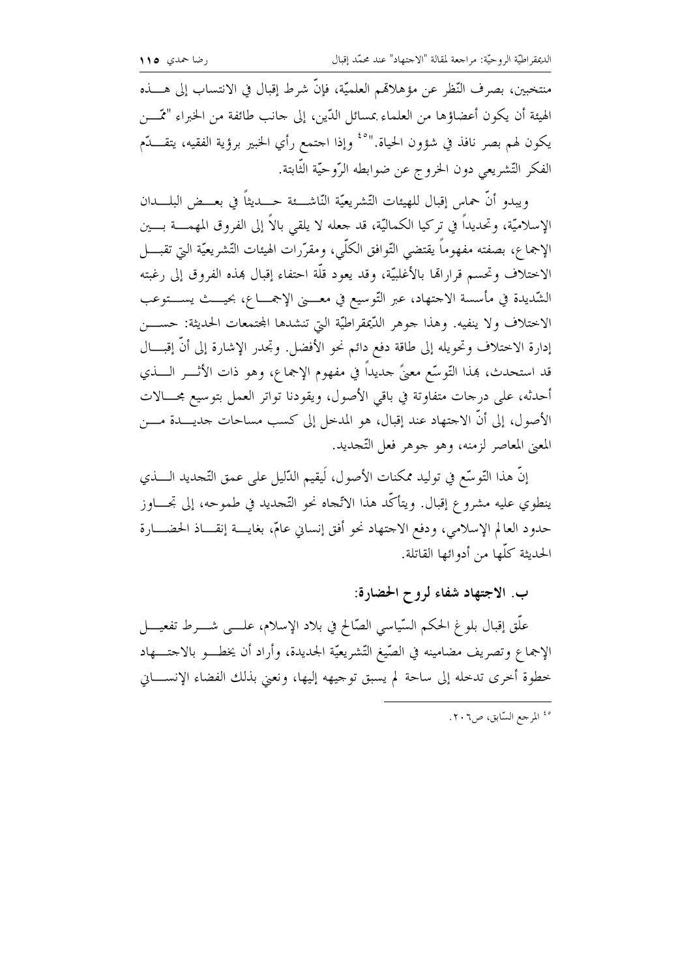منتخبين، بصرف النّظر عن مؤهلاتمم العلميّة، فإنّ شرط إقبال في الانتساب إلى هــــذه الهيئة أن يكون أعضاؤها من العلماء بمسائل الدّين، إلى حانب طائفة من الخبراء "ممّــــن يكون لهم بصر نافذ في شؤون الحياة.''°<sup>٤</sup> وإذا احتمع رأي الخبير برؤية الفقيه، يتقــــلّم الفكر التّشريعي دون الخروج عن ضوابطه الرّوحيّة الثّابتة.

ويبدو أنَّ حماس إقبال للهيئات التَّشريعيَّة النَّاشــــئة حــــديثاً في بعـــض البلــــدان الإسلاميَّة، وتحديداً في تركيا الكماليَّة، قد جعله لا يلقى بالاً إلى الفروق المهمــــة بــــين الإجماع، بصفته مفهوماً يقتضي التَّوافق الكلَّبي، ومقرَّرات الهيئات التَّشريعيَّة التي تقبــــل الاختلاف وتحسم قراراتها بالأغلبيّة، وقد يعود قلَّة احتفاء إقبال بمذه الفروق إلى رغبته الشَّديدة في مأسسة الاحتهاد، عبر التَّوسيع في معــــني الإجمــــاع، بحيــــث يســـتوعب الاختلاف ولا ينفيه. وهذا حوهر الدَّيمقراطيَّة التي تنشدها المجتمعات الحديثة: حســــن إدارة الاختلاف وتحويله إلى طاقة دفع دائم نحو الأفضل. وتحدر الإشارة إلى أنَّ إقبـــال قد استحدث، هذا التَّوسُّع معنَّ حديداً في مفهوم الإجماع، وهو ذات الأثــــر الــــذي أحدثه، على درجات متفاوتة في باقي الأصول، ويقودنا تواتر العمل بتوسيع مجـــالات الأصول، إلى أن الاجتهاد عند إقبال، هو المدخل إلى كسب مساحات جديــــدة مــــن المعنى المعاصر لزمنه، وهو حوهر فعل التَّحديد.

إنَّ هذا التَّوسُّع في توليد ممكنات الأصول، لَيقيم الدَّليل على عمق التَّحديد الــــذي ينطوي عليه مشروع إقبال. ويتأكَّد هذا الاتَّجاه نحو التَّجديد في طموحه، إلى تجــــاوز حدود العالم الإسلامي، ودفع الاجتهاد نحو أفق إنساني عامّ، بغايـــة إنقـــاذ الحضــــارة الحديثة كلَّها من أدوائها القاتلة.

## ب. الاجتهاد شفاء لروح الحضارة:

علَّق إقبال بلو غ الحكم السَّياسي الصَّالح في بلاد الإسلام، علــــي شــــرط تفعيــــل الإجماع وتصريف مضامينه في الصّيغ التّشريعيّة الجديدة، وأراد أن يخطـــو بالاحتــــهاد خطوة أخرى تدخله إلى ساحة لم يسبق توحيهه إليها، ونعني بذلك الفضاء الإنســـاين

<sup>ه؛</sup> المرجع السّابق، ص٢٠٦.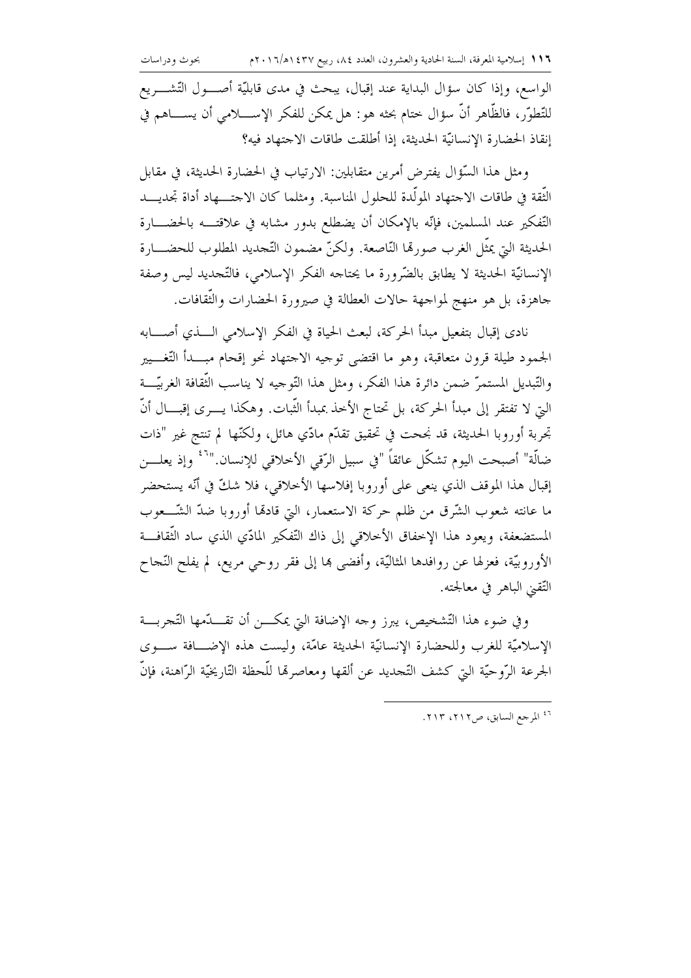الواسع، وإذا كان سؤال البداية عند إقبال، يبحث في مدى قابليّة أصـــول التّشـــريع للتِّطوَّر، فالظَّاهر أنَّ سؤال ختام بحثه هو: هل يمكن للفكر الإســـــلامي أن يســـــاهـم في إنقاذ الحضارة الإنسانيّة الحديثة، إذا أطلقت طاقات الاحتهاد فيه؟

ومثل هذا السَّوَّال يفترض أمرين متقابلين: الارتياب في الحضارة الحديثة، في مقابل الثُّقة في طاقات الاحتهاد المولَّدة للحلول المناسبة. ومثلما كان الاحتــــهاد أداة تجديــــد التّفكير عند المسلمين، فإنّه بالإمكان أن يضطلع بدور مشابه في علاقتـــه بالحضــــارة الحديثة التي يمثَّل الغرب صورها النَّاصعة. ولكنَّ مضمون التَّحديد المطلوب للحضــــارة الإنسانيّة الحديثة لا يطابق بالضّرورة ما يحتاحه الفكر الإسلامي، فالتّحديد ليس وصفة حاهزة، بل هو منهج لمواحهة حالات العطالة في صيرورة الحضارات والنُّقافات.

نادي إقبال بتفعيل مبدأ الحركة، لبعث الحياة في الفكر الإسلامي الــــذي أصـــــابه الجمود طيلة قرون متعاقبة، وهو ما اقتضى توحيه الاحتهاد نحو إقحام مبـــدأ التّغــــيير والتَّبديل المستمرَّ ضمن دائرة هذا الفكر، ومثل هذا التَّوجيه لا يناسب الثَّقافة الغربيَّـــة التي لا تفتقر إلى مبدأ الحركة، بل تحتاج الأحذ بمبدأ الثَّبات. وهكذا يــــرى إقبــــال أنَّ تِحرِبة أوروبا الحديثة، قد نجحت في تحقيق تقدَّم مادِّي هائل، ولكنَّها لم تنتج غير "ذات ضالَّة" أصبحت اليوم تشكَّل عائقاً "في سبيل الرّقي الأخلاقي للإنسان."<sup>٢</sup>\* وإذ يعلــــن إقبال هذا الموقف الذي ينعي على أوروبا إفلاسها الأخلاقي، فلا شكَّ في أنَّه يستحضر ما عانته شعوب الشَّرق من ظلم حركة الاستعمار، التي قادهًا أوروبا ضدَّ الشَّـــعوب المستضعفة، ويعود هذا الإخفاق الأخلاقي إلى ذاك التّفكير المادّي الذي ساد الثّقافـــة الأوروبيَّة، فعزلها عن روافدها المثاليَّة، وأفضى ها إلى فقر روحي مريع، لم يفلح النَّجاح التّقني الباهر في معالجته.

وفي ضوءِ هذا التّشخيص، يبرز وجه الإضافة التي يمكـــن أن تقــــدّمها التّـجربــــة الإسلاميَّة للغرب وللحضارة الإنسانيَّة الحديثة عامَّة، وليست هذه الإضــافة ســـوى الجرعة الرَّوحيَّة الَّتِي كشف التَّجديد عن ألقها ومعاصرها للَّحظة التَّارِيخيَّة الرَّاهنة، فإنَّ

<sup>٤٦</sup> المرجع السابق، ص٢١٢، ٢١٣.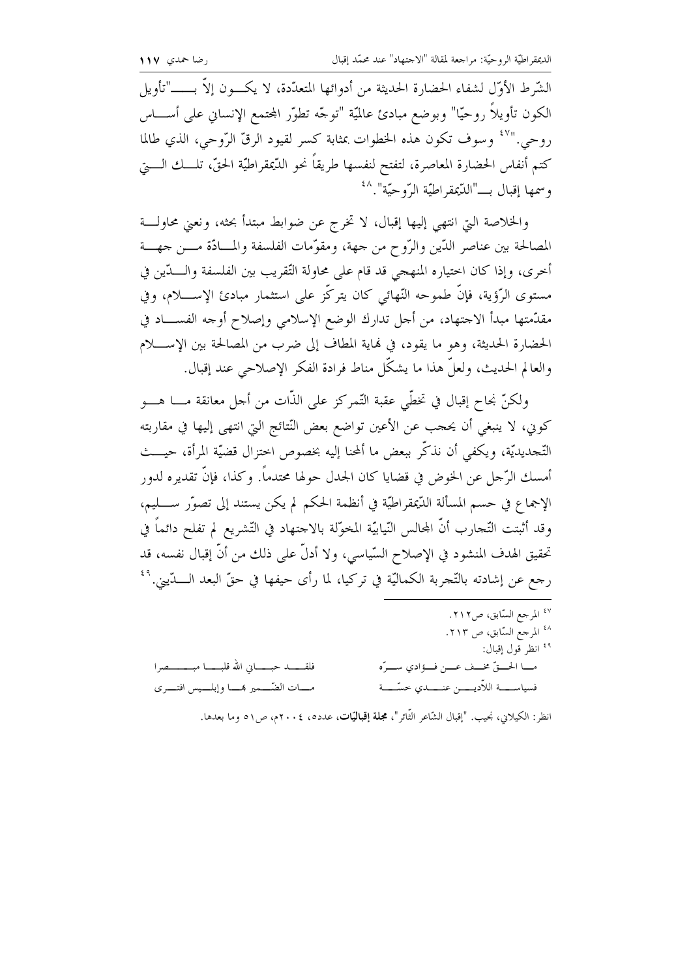الشَّرط الأوَّل لشفاء الحضارة الحديثة من أدوائها المتعدَّدة، لا يكـــون إلاَّ بــــــ"تأويل الكون تأويلاً روحيّا" وبوضع مبادئ عالميّة "توجّه تطوّر المحتمع الإنساني على أســــاس روحي."'' وسوف تكون هذه الخطوات بمثابة كسر لقيود الرقّ الرّوحي، الذي طالما كتم أنفاس الحضارة المعاصرة، لتفتح لنفسها طريقاً نحو الدّيمقراطيّة الحقّ، تلـــك الــــتي وسمها إقبال بـــ"الدّيمقراطيّة الرّوحيّة".^<sup>٤</sup>

والخلاصة التي انتهى إليها إقبال، لا تخرج عن ضوابط مبتدأ بحثه، ونعني محاولـــة المصالحة بين عناصر الدّين والرّوح من جهة، ومقوّمات الفلسفة والمسادّة مــــن جهــــة أحرى، وإذا كان احتياره المنهجي قد قام على محاولة التّقريب بين الفلسفة والــــدّين في مستوى الرَّؤية، فإنَّ طموحه النَّهائي كان يتركَّز على استثمار مبادئ الإســــلام، وفي مقدّمتها مبدأ الاحتهاد، من أحل تدارك الوضع الإسلامي وإصلاح أوحه الفســـاد في الحضارة الحديثة، وهو ما يقود، في نماية المطاف إلى ضرب من المصالحة بين الإســــلام والعالم الحديث، ولعلَّ هذا ما يشكَّل مناط فرادة الفكر الإصلاحي عند إقبال.

ولكنَّ نِحاحٍ إقبالٍ في تخطَّى عقبة التَّمركز على الذَّات من أحل معانقة مــــا هــــو كوين، لا ينبغي أن يحجب عن الأعين تواضع بعض النّتائج التي انتهى إليها في مقاربته التَّحديديَّة، ويكفي أن نذكَّر ببعض ما ألمحنا إليه بخصوص اختزال قضيَّة المرأة، حيـــث أمسك الرَّحل عن الخوض في قضايا كان الجدل حولها محتدماً. وكذا، فإنَّ تقديره لدور الإجماع في حسم المسألة الدِّيمقراطيَّة في أنظمة الحكم لم يكن يستند إلى تصوَّر ســــليم، وقد أثبتت التَّجارب أنَّ المحالس النَّيابيَّة المخوَّلة بالاجتهاد في التَّشريع لم تفلح دائماً في تحقيق الهدف المنشود في الإصلاح السّياسي، ولا أدلّ على ذلك من أنّ إقبال نفسه، قد رجع عن إشادته بالتَّجربة الكماليَّة في تركيا، لما رأى حيفها في حقِّ البعد الــــدّيني. أَنْ

انظر: الكيلاني، نجيب. "إقبال الشّاعر الثّائر"، مجلة إقباليّات، عدده، ٢٠٠٤م، ص٥١ وما بعدها.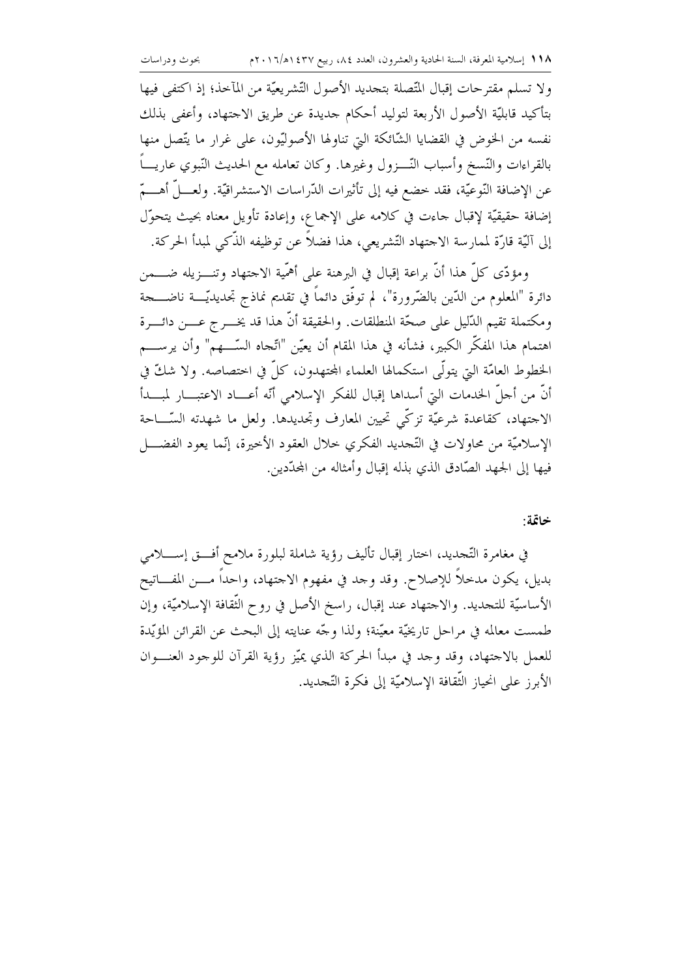ولا تسلم مقترحات إقبال المتِّصلة بتجديد الأصول التَّشريعيَّة من المآخذ؛ إذ اكتفى فيها بتأكيد قابليّة الأصول الأربعة لتوليد أحكام حديدة عن طريق الاحتهاد، وأعفى بذلك نفسه من الخوض في القضايا الشّائكة التي تناولها الأصوليّون، على غرار ما يتّصل منها بالقراءات والنّسخ وأسباب النّـــزول وغيرها. وكان تعامله مع الحديث النّبوي عاريــــاً عن الإضافة النَّوعيَّة، فقد خضع فيه إلى تأثيرات الدَّراسات الاستشراقيَّة. ولعــــلَّ أهـــــمّ إضافة حقيقيّة لإقبال حاءت في كلامه على الإجماع، وإعادة تأويل معناه بحيث يتحوّل إلى آليّة قارّة لممارسة الاحتهاد التّشريعي، هذا فضلاً عن توظيفه الذّكى لمبدأ الحركة.

ومؤدّى كلِّ هذا أنَّ براعة إقبال في البرهنة على أهمَّية الاجتهاد وتنـــزيله ضــــمن دائرة "المعلوم من الدّين بالضّرورة"، لم توفَّق دائماً في تقديم نماذج تجديديّـــة ناضـــــجة ومكتملة تقيم الدَّليل على صحَّة المنطلقات. والحقيقة أنَّ هذا قد يخـــر ج عــــن دائــــرة اهتمام هذا المفكَّر الكبير، فشأنه في هذا المقام أن يعيّن "اتّحاه السّــــهم" وأن يرســــم الخطوط العامّة التي يتولَّى استكمالها العلماء المجتهدون، كلَّ في اختصاصه. ولا شكَّ في أنَّ من أجلَّ الحٰدمات الَّتِي أسداها إقبال للفكر الإسلامي أنَّه أعـــاد الاعتبـــار لمبـــدأ الاجتهاد، كقاعدة شرعيَّة تزكَّى تحيين المعارف وتحديدها. ولعل ما شهدته السَّـــاحة الإسلاميَّة من محاولات في التَّجديد الفكري خلال العقود الأخيرة، إنَّما يعود الفضــــل فيها إلى الجهد الصّادق الذي بذله إقبال وأمثاله من المجدّدين.

#### خاتمة:

في مغامرة التَّجديد، اختار إقبال تأليف رؤية شاملة لبلورة ملامح أفـــق إســــلامي بديل، يكون مدحلاً للإصلاح. وقد وجد في مفهوم الاجتهاد، واحداً مــــن المفــــاتيح الأساسيّة للتجديد. والاحتهاد عند إقبال، راسخ الأصل في روح الثقافة الإسلاميّة، وإن طمست معالمه في مراحل تاريخيَّة معيَّنة؛ ولذا وجَّه عنايته إلى البحث عن القرائن المؤيَّدة للعمل بالاجتهاد، وقد وحد في مبدأ الحركة الذي يميِّز رؤية القرآن للوجود العنــوان الأبرز على انحياز الثَّقافة الإسلاميَّة إلى فكرة التَّجديد.